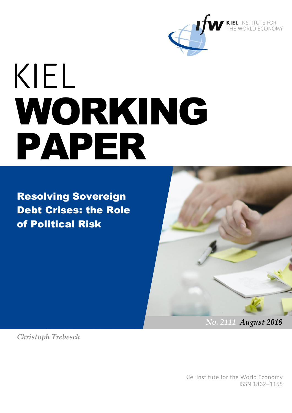

# KIEL WORKING PAPER

Resolving Sovereign Debt Crises: the Role of Political Risk



*No. 2111 August 2018*

*Christoph Trebesch* 

Kiel Institute for the World Economy ISSN 1862–1155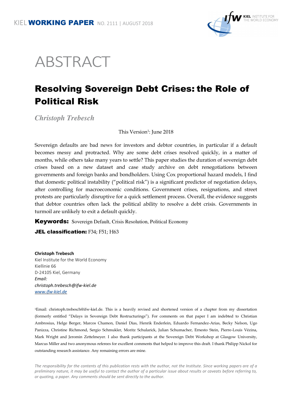



# Resolving Sovereign Debt Crises: the Role of Political Risk

*Christoph Trebesch* 

This Version<sup>1</sup>: June 2018

Sovereign defaults are bad news for investors and debtor countries, in particular if a default becomes messy and protracted. Why are some debt crises resolved quickly, in a matter of months, while others take many years to settle? This paper studies the duration of sovereign debt crises based on a new dataset and case study archive on debt renegotiations between governments and foreign banks and bondholders. Using Cox proportional hazard models, I find that domestic political instability ("political risk") is a significant predictor of negotiation delays, after controlling for macroeconomic conditions. Government crises, resignations, and street protests are particularly disruptive for a quick settlement process. Overall, the evidence suggests that debtor countries often lack the political ability to resolve a debt crisis. Governments in turmoil are unlikely to exit a default quickly.

**Keywords:** Sovereign Default, Crisis Resolution, Political Economy

**JEL classification: F34; F51; H63** 

**Christoph Trebesch**  Kiel Institute for the World Economy Kiellinie 66 D-24105 Kiel, Germany *Email: christoph.trebesch@ifw-kiel.de [www.ifw-kiel.de](http://www.ifw-kiel.de/)* 

<sup>1</sup>Email: christoph.trebesch@ifw-kiel.de. This is a heavily revised and shortened version of a chapter from my dissertation (formerly entitled "Delays in Sovereign Debt Restructurings"). For comments on that paper I am indebted to Christian Ambrosius, Helge Berger, Marcos Chamon, Daniel Dias, Henrik Enderlein, Eduardo Fernandez-Arias, Becky Nelson, Ugo Panizza, Christine Richmond, Sergio Schmukler, Moritz Schularick, Julian Schumacher, Ernesto Stein, Pierre-Louis Vézina, Mark Wright and Jeromin Zettelmeyer. I also thank participants at the Sovereign Debt Workshop at Glasgow University, Marcus Miller and two anonymous referees for excellent comments that helped to improve this draft. I thank Philipp Nickol for outstanding research assistance. Any remaining errors are mine.

*The responsibility for the contents of this publication rests with the author, not the Institute. Since working papers are of a preliminary nature, it may be useful to contact the author of a particular issue about results or caveats before referring to, or quoting, a paper. Any comments should be sent directly to the author.*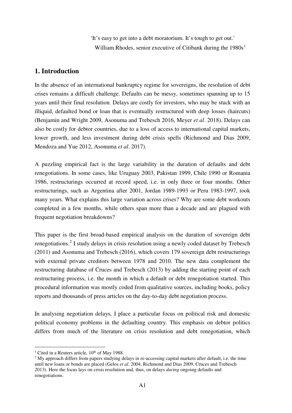'It's easy to get into a debt moratorium. It's tough to get out.' William Rhodes, senior executive of Citibank during the  $1980s<sup>1</sup>$  $1980s<sup>1</sup>$ 

## **1. Introduction**

In the absence of an international bankruptcy regime for sovereigns, the resolution of debt crises remains a difficult challenge. Defaults can be messy, sometimes spanning up to 15 years until their final resolution. Delays are costly for investors, who may be stuck with an illiquid, defaulted bond or loan that is eventually restructured with deep losses (haircuts) (Benjamin and Wright 2009, Asonuma and Trebesch 2016, Meyer *et al*. 2018). Delays can also be costly for debtor countries, due to a loss of access to international capital markets, lower growth, and less investment during debt crisis spells (Richmond and Dias 2009, Mendoza and Yue 2012, Asonuma *et al*. 2017).

A puzzling empirical fact is the large variability in the duration of defaults and debt renegotiations. In some cases, like Uruguay 2003, Pakistan 1999, Chile 1990 or Romania 1986, restructurings occurred at record speed, i.e. in only three or four months. Other restructurings, such as Argentina after 2001, Jordan 1989-1993 or Peru 1983-1997, took many years. What explains this large variation across crises? Why are some debt workouts completed in a few months, while others span more than a decade and are plagued with frequent negotiation breakdowns?

This paper is the first broad-based empirical analysis on the duration of sovereign debt renegotiations.<sup>[2](#page-2-1)</sup> I study delays in crisis resolution using a newly coded dataset by Trebesch (2011) and Asonuma and Trebesch (2016), which covers 179 sovereign debt restructurings with external private creditors between 1978 and 2010. The new data complement the restructuring database of Cruces and Trebesch (2013) by adding the starting point of each restructuring process, i.e. the month in which a default or debt renegotiation started. This procedural information was mostly coded from qualitative sources, including books, policy reports and thousands of press articles on the day-to-day debt negotiation process.

In analysing negotiation delays, I place a particular focus on political risk and domestic political economy problems in the defaulting country. This emphasis on debtor politics differs from much of the literature on crisis resolution and debt renegotiation, which

<sup>&</sup>lt;sup>1</sup> Cited in a Reuters article,  $10^{th}$  of May 1988.

<span id="page-2-1"></span><span id="page-2-0"></span><sup>&</sup>lt;sup>2</sup> My approach differs from papers studying delays in re-accessing capital markets after default, i.e. the time until new loans or bonds are placed (Gelos *et al*. 2004, Richmond and Dias 2009, Cruces and Trebesch 2013). Here the focus lays on crisis resolution and, thus, on delays *during* ongoing defaults and renegotiations.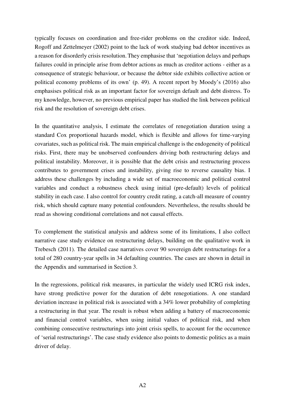typically focuses on coordination and free-rider problems on the creditor side. Indeed, Rogoff and Zettelmeyer (2002) point to the lack of work studying bad debtor incentives as a reason for disorderly crisis resolution.They emphasise that 'negotiation delays and perhaps failures could in principle arise from debtor actions as much as creditor actions - either as a consequence of strategic behaviour, or because the debtor side exhibits collective action or political economy problems of its own' (p. 49). A recent report by Moody's (2016) also emphasises political risk as an important factor for sovereign default and debt distress. To my knowledge, however, no previous empirical paper has studied the link between political risk and the resolution of sovereign debt crises.

In the quantitative analysis, I estimate the correlates of renegotiation duration using a standard Cox proportional hazards model, which is flexible and allows for time-varying covariates, such as political risk. The main empirical challenge is the endogeneity of political risks. First, there may be unobserved confounders driving both restructuring delays and political instability. Moreover, it is possible that the debt crisis and restructuring process contributes to government crises and instability, giving rise to reverse causality bias. I address these challenges by including a wide set of macroeconomic and political control variables and conduct a robustness check using initial (pre-default) levels of political stability in each case. I also control for country credit rating, a catch-all measure of country risk, which should capture many potential confounders. Nevertheless, the results should be read as showing conditional correlations and not causal effects.

To complement the statistical analysis and address some of its limitations, I also collect narrative case study evidence on restructuring delays, building on the qualitative work in Trebesch (2011). The detailed case narratives cover 90 sovereign debt restructurings for a total of 280 country-year spells in 34 defaulting countries. The cases are shown in detail in the Appendix and summarised in Section 3.

In the regressions, political risk measures, in particular the widely used ICRG risk index, have strong predictive power for the duration of debt renegotiations. A one standard deviation increase in political risk is associated with a 34% lower probability of completing a restructuring in that year. The result is robust when adding a battery of macroeconomic and financial control variables, when using initial values of political risk, and when combining consecutive restructurings into joint crisis spells, to account for the occurrence of 'serial restructurings'. The case study evidence also points to domestic politics as a main driver of delay.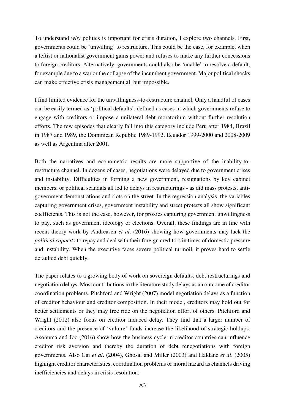To understand *why* politics is important for crisis duration, I explore two channels. First, governments could be 'unwilling' to restructure. This could be the case, for example, when a leftist or nationalist government gains power and refuses to make any further concessions to foreign creditors. Alternatively, governments could also be 'unable' to resolve a default, for example due to a war or the collapse of the incumbent government. Major political shocks can make effective crisis management all but impossible.

I find limited evidence for the unwillingness-to-restructure channel. Only a handful of cases can be easily termed as 'political defaults', defined as cases in which governments refuse to engage with creditors or impose a unilateral debt moratorium without further resolution efforts. The few episodes that clearly fall into this category include Peru after 1984, Brazil in 1987 and 1989, the Dominican Republic 1989-1992, Ecuador 1999-2000 and 2008-2009 as well as Argentina after 2001.

Both the narratives and econometric results are more supportive of the inability-torestructure channel. In dozens of cases, negotiations were delayed due to government crises and instability. Difficulties in forming a new government, resignations by key cabinet members, or political scandals all led to delays in restructurings - as did mass protests, antigovernment demonstrations and riots on the street. In the regression analysis, the variables capturing government crises, government instability and street protests all show significant coefficients. This is not the case, however, for proxies capturing government unwillingness to pay, such as government ideology or elections. Overall, these findings are in line with recent theory work by Andreasen *et al*. (2016) showing how governments may lack the *political capacity* to repay and deal with their foreign creditors in times of domestic pressure and instability. When the executive faces severe political turmoil, it proves hard to settle defaulted debt quickly.

The paper relates to a growing body of work on sovereign defaults, debt restructurings and negotiation delays. Most contributions in the literature study delays as an outcome of creditor coordination problems. Pitchford and Wright (2007) model negotiation delays as a function of creditor behaviour and creditor composition. In their model, creditors may hold out for better settlements or they may free ride on the negotiation effort of others. Pitchford and Wright (2012) also focus on creditor induced delay. They find that a larger number of creditors and the presence of 'vulture' funds increase the likelihood of strategic holdups. Asonuma and Joo (2016) show how the business cycle in creditor countries can influence creditor risk aversion and thereby the duration of debt renegotiations with foreign governments. Also Gai *et al*. (2004), Ghosal and Miller (2003) and Haldane *et al*. (2005) highlight creditor characteristics, coordination problems or moral hazard as channels driving inefficiencies and delays in crisis resolution.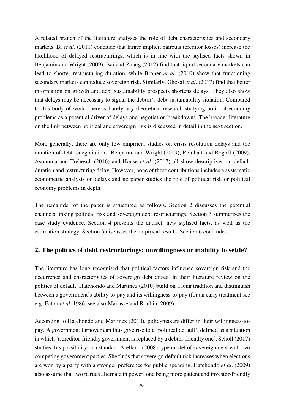A related branch of the literature analyses the role of debt characteristics and secondary markets. Bi *et al*. (2011) conclude that larger implicit haircuts (creditor losses) increase the likelihood of delayed restructurings, which is in line with the stylised facts shown in Benjamin and Wright (2009). Bai and Zhang (2012) find that liquid secondary markets can lead to shorter restructuring duration, while Broner *et al*. (2010) show that functioning secondary markets can reduce sovereign risk. Similarly, Ghosal *et al*. (2017) find that better information on growth and debt sustainability prospects shortens delays. They also show that delays may be necessary to signal the debtor's debt sustainability situation. Compared to this body of work, there is barely any theoretical research studying political economy problems as a potential driver of delays and negotiation breakdowns. The broader literature on the link between political and sovereign risk is discussed in detail in the next section.

More generally, there are only few empirical studies on crisis resolution delays and the duration of debt renegotiations. Benjamin and Wright (2009), Reinhart and Rogoff (2009), Asonuma and Trebesch (2016) and House *et al*. (2017) all show descriptives on default duration and restructuring delay. However, none of these contributions includes a systematic econometric analysis on delays and no paper studies the role of political risk or political economy problems in depth.

The remainder of the paper is structured as follows. Section 2 discusses the potential channels linking political risk and sovereign debt restructurings. Section 3 summarises the case study evidence. Section 4 presents the dataset, new stylised facts, as well as the estimation strategy. Section 5 discusses the empirical results. Section 6 concludes.

#### **2. The politics of debt restructurings: unwillingness or inability to settle?**

The literature has long recognised that political factors influence sovereign risk and the occurrence and characteristics of sovereign debt crises. In their literature review on the politics of default, Hatchondo and Martinez (2010) build on a long tradition and distinguish between a government's ability-to-pay and its willingness-to-pay (for an early treatment see e.g. Eaton *et al*. 1986, see also Manasse and Roubini 2009).

According to Hatchondo and Martinez (2010), policymakers differ in their willingness-topay. A government turnover can thus give rise to a 'political default', defined as a situation in which 'a creditor-friendly government is replaced by a debtor-friendly one'. Scholl (2017) studies this possibility in a standard Arellano (2008) type model of sovereign debt with two competing government parties. She finds that sovereign default risk increases when elections are won by a party with a stronger preference for public spending. Hatchondo *et al*. (2009) also assume that two parties alternate in power, one being more patient and investor-friendly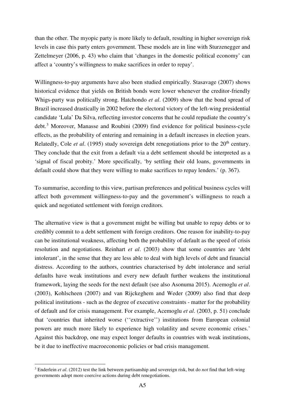than the other. The myopic party is more likely to default, resulting in higher sovereign risk levels in case this party enters government. These models are in line with Sturzenegger and Zettelmeyer (2006, p. 43) who claim that 'changes in the domestic political economy' can affect a 'country's willingness to make sacrifices in order to repay'.

Willingness-to-pay arguments have also been studied empirically. Stasavage (2007) shows historical evidence that yields on British bonds were lower whenever the creditor-friendly Whigs-party was politically strong. Hatchondo *et al*. (2009) show that the bond spread of Brazil increased drastically in 2002 before the electoral victory of the left-wing presidential candidate 'Lula' Da Silva, reflecting investor concerns that he could repudiate the country's debt.[3](#page-6-0) Moreover, Manasse and Roubini (2009) find evidence for political business-cycle effects, as the probability of entering and remaining in a default increases in election years. Relatedly, Cole *et al.* (1995) study sovereign debt renegotiations prior to the 20<sup>th</sup> century. They conclude that the exit from a default via a debt settlement should be interpreted as a 'signal of fiscal probity.' More specifically, 'by settling their old loans, governments in default could show that they were willing to make sacrifices to repay lenders.' (p. 367).

To summarise, according to this view, partisan preferences and political business cycles will affect both government willingness-to-pay and the government's willingness to reach a quick and negotiated settlement with foreign creditors.

The alternative view is that a government might be willing but unable to repay debts or to credibly commit to a debt settlement with foreign creditors. One reason for inability-to-pay can be institutional weakness, affecting both the probability of default as the speed of crisis resolution and negotiations. Reinhart *et al*. (2003) show that some countries are 'debt intolerant', in the sense that they are less able to deal with high levels of debt and financial distress. According to the authors, countries characterised by debt intolerance and serial defaults have weak institutions and every new default further weakens the institutional framework, laying the seeds for the next default (see also Asonuma 2015). Acemoglu *et al*. (2003), Kohlscheen (2007) and van Rijckeghem and Weder (2009) also find that deep political institutions - such as the degree of executive constraints - matter for the probability of default and for crisis management. For example, Acemoglu *et al*. (2003, p. 51) conclude that 'countries that inherited worse (''extractive'') institutions from European colonial powers are much more likely to experience high volatility and severe economic crises.' Against this backdrop, one may expect longer defaults in countries with weak institutions, be it due to ineffective macroeconomic policies or bad crisis management.

<span id="page-6-0"></span><sup>3</sup> Enderlein *et al*. (2012) test the link between partisanship and sovereign risk, but do *not* find that left-wing governments adopt more coercive actions during debt renegotiations.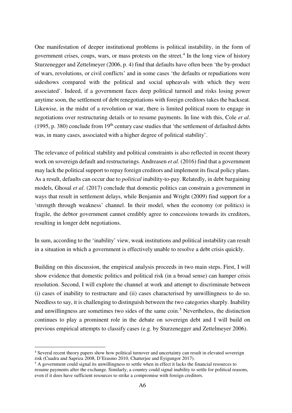One manifestation of deeper institutional problems is political instability, in the form of government crises, coups, wars, or mass protests on the street.<sup>[4](#page-7-0)</sup> In the long view of history Sturzenegger and Zettelmeyer (2006, p. 4) find that defaults have often been 'the by-product of wars, revolutions, or civil conflicts' and in some cases 'the defaults or repudiations were sideshows compared with the political and social upheavals with which they were associated'. Indeed, if a government faces deep political turmoil and risks losing power anytime soon, the settlement of debt renegotiations with foreign creditors takes the backseat. Likewise, in the midst of a revolution or war, there is limited political room to engage in negotiations over restructuring details or to resume payments. In line with this, Cole *et al*. (1995, p. 380) conclude from  $19<sup>th</sup>$  century case studies that 'the settlement of defaulted debts was, in many cases, associated with a higher degree of political stability'.

The relevance of political stability and political constraints is also reflected in recent theory work on sovereign default and restructurings. Andreasen *et al*. (2016) find that a government may lack the political support to repay foreign creditors and implement its fiscal policy plans. As a result, defaults can occur due to *political* inability-to-pay. Relatedly, in debt bargaining models, Ghosal *et al*. (2017) conclude that domestic politics can constrain a government in ways that result in settlement delays, while Benjamin and Wright (2009) find support for a 'strength through weakness' channel. In their model, when the economy (or politics) is fragile, the debtor government cannot credibly agree to concessions towards its creditors, resulting in longer debt negotiations.

In sum, according to the 'inability' view, weak institutions and political instability can result in a situation in which a government is effectively unable to resolve a debt crisis quickly.

Building on this discussion, the empirical analysis proceeds in two main steps. First, I will show evidence that domestic politics and political risk (in a broad sense) can hamper crisis resolution. Second, I will explore the channel at work and attempt to discriminate between (i) cases of inability to restructure and (ii) cases characterised by unwillingness to do so. Needless to say, it is challenging to distinguish between the two categories sharply. Inability and unwillingness are sometimes two sides of the same coin.<sup>[5](#page-7-1)</sup> Nevertheless, the distinction continues to play a prominent role in the debate on sovereign debt and I will build on previous empirical attempts to classify cases (e.g. by Sturzenegger and Zettelmeyer 2006).

<span id="page-7-0"></span><sup>4</sup> Several recent theory papers show how political turnover and uncertainty can result in elevated sovereign risk (Cuadra and Sapriza 2008, D'Erasmo 2010, Chatterjee and Eyigungor 2017).

<span id="page-7-1"></span><sup>&</sup>lt;sup>5</sup> A government could signal its unwillingness to settle when in effect it lacks the financial resources to resume payments after the exchange. Similarly, a country could signal inability to settle for political reasons, even if it does have sufficient resources to strike a compromise with foreign creditors.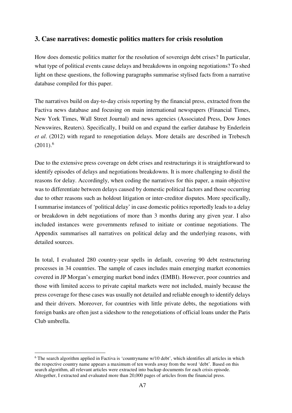## **3. Case narratives: domestic politics matters for crisis resolution**

How does domestic politics matter for the resolution of sovereign debt crises? In particular, what type of political events cause delays and breakdowns in ongoing negotiations? To shed light on these questions, the following paragraphs summarise stylised facts from a narrative database compiled for this paper.

The narratives build on day-to-day crisis reporting by the financial press, extracted from the Factiva news database and focusing on main international newspapers (Financial Times, New York Times, Wall Street Journal) and news agencies (Associated Press, Dow Jones Newswires, Reuters). Specifically, I build on and expand the earlier database by Enderlein *et al*. (2012) with regard to renegotiation delays. More details are described in Trebesch  $(2011).<sup>6</sup>$  $(2011).<sup>6</sup>$  $(2011).<sup>6</sup>$ 

Due to the extensive press coverage on debt crises and restructurings it is straightforward to identify episodes of delays and negotiations breakdowns. It is more challenging to distil the reasons for delay. Accordingly, when coding the narratives for this paper, a main objective was to differentiate between delays caused by domestic political factors and those occurring due to other reasons such as holdout litigation or inter-creditor disputes. More specifically, I summarise instances of 'political delay' in case domestic politics reportedly leads to a delay or breakdown in debt negotiations of more than 3 months during any given year. I also included instances were governments refused to initiate or continue negotiations. The Appendix summarises all narratives on political delay and the underlying reasons, with detailed sources.

In total, I evaluated 280 country-year spells in default, covering 90 debt restructuring processes in 34 countries. The sample of cases includes main emerging market economies covered in JP Morgan's emerging market bond index (EMBI). However, poor countries and those with limited access to private capital markets were not included, mainly because the press coverage for these cases was usually not detailed and reliable enough to identify delays and their drivers. Moreover, for countries with little private debts, the negotiations with foreign banks are often just a sideshow to the renegotiations of official loans under the Paris Club umbrella.

<span id="page-8-0"></span><sup>&</sup>lt;sup>6</sup> The search algorithm applied in Factiva is 'countryname w/10 debt', which identifies all articles in which the respective country name appears a maximum of ten words away from the word 'debt'. Based on this search algorithm, all relevant articles were extracted into backup documents for each crisis episode. Altogether, I extracted and evaluated more than 20,000 pages of articles from the financial press.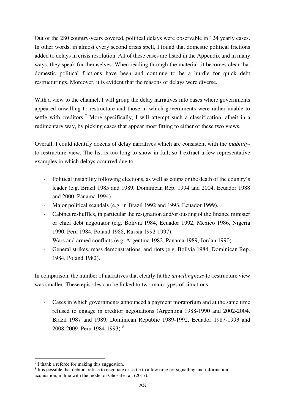Out of the 280 country-years covered, political delays were observable in 124 yearly cases. In other words, in almost every second crisis spell, I found that domestic political frictions added to delays in crisis resolution. All of these cases are listed in the Appendix and in many ways, they speak for themselves. When reading through the material, it becomes clear that domestic political frictions have been and continue to be a hurdle for quick debt restructurings. Moreover, it is evident that the reasons of delays were diverse.

With a view to the channel, I will group the delay narratives into cases where governments appeared unwilling to restructure and those in which governments were rather unable to settle with creditors.<sup>[7](#page-9-0)</sup> More specifically, I will attempt such a classification, albeit in a rudimentary way, by picking cases that appear most fitting to either of these two views.

Overall, I could identify dozens of delay narratives which are consistent with the *inability*to-restructure view. The list is too long to show in full, so I extract a few representative examples in which delays occurred due to:

- Political instability following elections, as well as coups or the death of the country's leader (e.g. Brazil 1985 and 1989, Dominican Rep. 1994 and 2004, Ecuador 1988 and 2000, Panama 1994).
- Major political scandals (e.g. in Brazil 1992 and 1993, Ecuador 1999).
- Cabinet reshuffles, in particular the resignation and/or ousting of the finance minister or chief debt negotiator (e.g. Bolivia 1984, Ecuador 1992, Mexico 1986, Nigeria 1990, Peru 1984, Poland 1988, Russia 1992-1997).
- Wars and armed conflicts (e.g. Argentina 1982, Panama 1989, Jordan 1990).
- General strikes, mass demonstrations, and riots (e.g. Bolivia 1984, Dominican Rep. 1984, Poland 1982).

In comparison, the number of narratives that clearly fit the *unwillingness*-to-restructure view was smaller. These episodes can be linked to two main types of situations:

Cases in which governments announced a payment moratorium and at the same time refused to engage in creditor negotiations (Argentina 1988-1990 and 2002-2004, Brazil 1987 and 1989, Dominican Republic 1989-1992, Ecuador 1987-1993 and 200[8](#page-9-1)-2009, Peru 1984-1993).<sup>8</sup>

<span id="page-9-0"></span> 7 I thank a referee for making this suggestion.

<span id="page-9-1"></span><sup>&</sup>lt;sup>8</sup> It is possible that debtors refuse to negotiate or settle to allow time for signalling and information acquisition, in line with the model of Ghosal et al. (2017).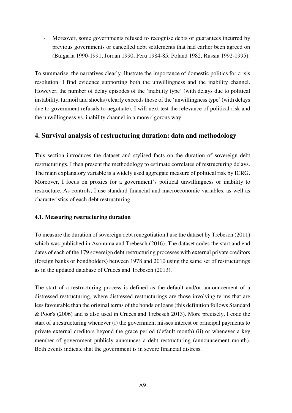Moreover, some governments refused to recognise debts or guarantees incurred by previous governments or cancelled debt settlements that had earlier been agreed on (Bulgaria 1990-1991, Jordan 1990, Peru 1984-85, Poland 1982, Russia 1992-1995).

To summarise, the narratives clearly illustrate the importance of domestic politics for crisis resolution. I find evidence supporting both the unwillingness and the inability channel. However, the number of delay episodes of the 'inability type' (with delays due to political instability, turmoil and shocks) clearly exceeds those of the 'unwillingness type' (with delays due to government refusals to negotiate). I will next test the relevance of political risk and the unwillingness vs. inability channel in a more rigorous way.

## **4. Survival analysis of restructuring duration: data and methodology**

This section introduces the dataset and stylised facts on the duration of sovereign debt restructurings. I then present the methodology to estimate correlates of restructuring delays. The main explanatory variable is a widely used aggregate measure of political risk by ICRG. Moreover, I focus on proxies for a government's political unwillingness or inability to restructure. As controls, I use standard financial and macroeconomic variables, as well as characteristics of each debt restructuring.

## **4.1. Measuring restructuring duration**

To measure the duration of sovereign debt renegotiation I use the dataset by Trebesch (2011) which was published in Asonuma and Trebesch (2016). The dataset codes the start and end dates of each of the 179 sovereign debt restructuring processes with external private creditors (foreign banks or bondholders) between 1978 and 2010 using the same set of restructurings as in the updated database of Cruces and Trebesch (2013).

The start of a restructuring process is defined as the default and/or announcement of a distressed restructuring, where distressed restructurings are those involving terms that are less favourable than the original terms of the bonds or loans (this definition follows Standard & Poor's (2006) and is also used in Cruces and Trebesch 2013). More precisely, I code the start of a restructuring whenever (i) the government misses interest or principal payments to private external creditors beyond the grace period (default month) (ii) or whenever a key member of government publicly announces a debt restructuring (announcement month). Both events indicate that the government is in severe financial distress.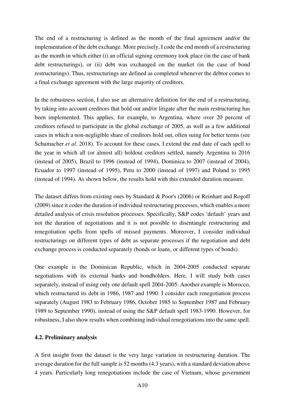The end of a restructuring is defined as the month of the final agreement and/or the implementation of the debt exchange. More precisely, I code the end month of a restructuring as the month in which either (i) an official signing ceremony took place (in the case of bank debt restructurings), or (ii) debt was exchanged on the market (in the case of bond restructurings). Thus, restructurings are defined as completed whenever the debtor comes to a final exchange agreement with the large majority of creditors.

In the robustness section, I also use an alternative definition for the end of a restructuring, by taking into account creditors that hold out and/or litigate after the main restructuring has been implemented. This applies, for example, to Argentina, where over 20 percent of creditors refused to participate in the global exchange of 2005, as well as a few additional cases in which a non-negligible share of creditors hold out, often suing for better terms (see Schumacher *et al*. 2018). To account for these cases, I extend the end date of each spell to the year in which all (or almost all) holdout creditors settled, namely Argentina to 2016 (instead of 2005), Brazil to 1996 (instead of 1994), Dominica to 2007 (instead of 2004), Ecuador to 1997 (instead of 1995), Peru to 2000 (instead of 1997) and Poland to 1995 (instead of 1994). As shown below, the results hold with this extended duration measure.

The dataset differs from existing ones by Standard & Poor's (2006) or Reinhart and Rogoff (2009) since it codes the duration of individual restructuring processes, which enables a more detailed analysis of crisis resolution processes. Specifically, S&P codes 'default' years and not the duration of negotiations and it is not possible to disentangle restructuring and renegotiation spells from spells of missed payments. Moreover, I consider individual restructurings on different types of debt as separate processes if the negotiation and debt exchange process is conducted separately (bonds or loans, or different types of bonds).

One example is the Dominican Republic, which in 2004-2005 conducted separate negotiations with its external banks and bondholders. Here, I will study both cases separately, instead of using only one default spell 2004-2005. Another example is Morocco, which restructured its debt in 1986, 1987 and 1990. I consider each renegotiation process separately (August 1983 to February 1986, October 1985 to September 1987 and February 1989 to September 1990), instead of using the S&P default spell 1983-1990. However, for robustness, I also show results when combining individual renegotiations into the same spell.

#### **4.2. Preliminary analysis**

A first insight from the dataset is the very large variation in restructuring duration. The average duration for the full sample is 52 months (4.3 years), with a standard deviation above 4 years. Particularly long renegotiations include the case of Vietnam, whose government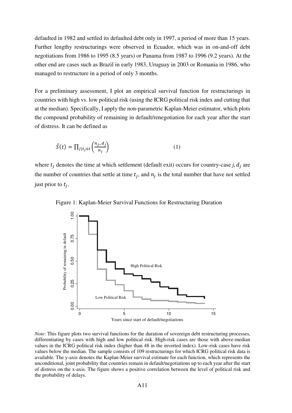defaulted in 1982 and settled its defaulted debt only in 1997, a period of more than 15 years. Further lengthy restructurings were observed in Ecuador, which was in on-and-off debt negotiations from 1986 to 1995 (8.5 years) or Panama from 1987 to 1996 (9.2 years). At the other end are cases such as Brazil in early 1983, Uruguay in 2003 or Romania in 1986, who managed to restructure in a period of only 3 months.

For a preliminary assessment, I plot an empirical survival function for restructurings in countries with high vs. low political risk (using the ICRG political risk index and cutting that at the median). Specifically, I apply the non-parametric Kaplan-Meier estimator, which plots the compound probability of remaining in default/renegotiation for each year after the start of distress. It can be defined as

$$
\hat{S}(t) = \prod_{j \mid t_j \le t} \left( \frac{n_{j} - d_j}{n_j} \right) \tag{1}
$$

where  $t_i$  denotes the time at which settlement (default exit) occurs for country-case *j*,  $d_i$  are the number of countries that settle at time  $t_j$ , and  $n_j$  is the total number that have not settled just prior to  $t_j$ .



Figure 1: Kaplan-Meier Survival Functions for Restructuring Duration

*Note*: This figure plots two survival functions for the duration of sovereign debt restructuring processes, differentiating by cases with high and low political risk. High-risk cases are those with above-median values in the ICRG political risk index (higher than 48 in the inverted index). Low-risk cases have risk values below the median. The sample consists of 109 restructurings for which ICRG political risk data is available. The y-axis denotes the Kaplan-Meier survival estimate for each function, which represents the unconditional, joint probability that countries remain in default/negotiations up to each year after the start of distress on the x-axis. The figure shows a positive correlation between the level of political risk and the probability of delays.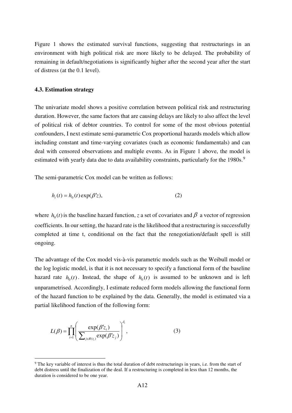Figure 1 shows the estimated survival functions, suggesting that restructurings in an environment with high political risk are more likely to be delayed. The probability of remaining in default/negotiations is significantly higher after the second year after the start of distress (at the 0.1 level).

#### **4.3. Estimation strategy**

 $\overline{a}$ 

The univariate model shows a positive correlation between political risk and restructuring duration. However, the same factors that are causing delays are likely to also affect the level of political risk of debtor countries. To control for some of the most obvious potential confounders, I next estimate semi-parametric Cox proportional hazards models which allow including constant and time-varying covariates (such as economic fundamentals) and can deal with censored observations and multiple events. As in Figure 1 above, the model is estimated with yearly data due to data availability constraints, particularly for the 1[9](#page-13-0)80s.<sup>9</sup>

The semi-parametric Cox model can be written as follows:

$$
h_i(t) = h_0(t) \exp(\beta' z),\tag{2}
$$

where  $h_0(t)$  is the baseline hazard function, *z* a set of covariates and  $\beta$  a vector of regression coefficients. In our setting, the hazard rate is the likelihood that a restructuring is successfully completed at time t, conditional on the fact that the renegotiation/default spell is still ongoing.

The advantage of the Cox model vis-à-vis parametric models such as the Weibull model or the log logistic model, is that it is not necessary to specify a functional form of the baseline hazard rate  $h_0(t)$ . Instead, the shape of  $h_0(t)$  is assumed to be unknown and is left unparametrised. Accordingly, I estimate reduced form models allowing the functional form of the hazard function to be explained by the data. Generally, the model is estimated via a partial likelihood function of the following form:

$$
L(\beta) = \prod_{i=1}^{n} \left( \frac{\exp(\beta' z_i)}{\sum_{j \in R(t_i)} \exp(\beta' z_j)} \right)^{\delta_i},
$$
\n(3)

<span id="page-13-0"></span><sup>&</sup>lt;sup>9</sup> The key variable of interest is thus the total duration of debt restructurings in years, i.e. from the start of debt distress until the finalization of the deal. If a restructuring is completed in less than 12 months, the duration is considered to be one year.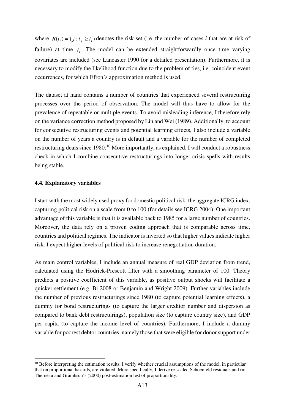where  $R(t_i) = (j : t_j \ge t_i)$  denotes the risk set (i.e. the number of cases *i* that are at risk of failure) at time  $t_i$ . The model can be extended straightforwardly once time varying covariates are included (see Lancaster 1990 for a detailed presentation). Furthermore, it is necessary to modify the likelihood function due to the problem of ties, i.e. coincident event occurrences, for which Efron's approximation method is used.

The dataset at hand contains a number of countries that experienced several restructuring processes over the period of observation. The model will thus have to allow for the prevalence of repeatable or multiple events. To avoid misleading inference, I therefore rely on the variance correction method proposed by Lin and Wei (1989). Additionally, to account for consecutive restructuring events and potential learning effects, I also include a variable on the number of years a country is in default and a variable for the number of completed restructuring deals since 1980.<sup>[10](#page-14-0)</sup> More importantly, as explained, I will conduct a robustness check in which I combine consecutive restructurings into longer crisis spells with results being stable.

#### **4.4. Explanatory variables**

 $\overline{a}$ 

I start with the most widely used proxy for domestic political risk: the aggregate ICRG index, capturing political risk on a scale from 0 to 100 (for details see ICRG 2004). One important advantage of this variable is that it is available back to 1985 for a large number of countries. Moreover, the data rely on a proven coding approach that is comparable across time, countries and political regimes. The indicator is inverted so that higher values indicate higher risk. I expect higher levels of political risk to increase renegotiation duration.

As main control variables, I include an annual measure of real GDP deviation from trend, calculated using the Hodrick-Prescott filter with a smoothing parameter of 100. Theory predicts a positive coefficient of this variable, as positive output shocks will facilitate a quicker settlement (e.g. Bi 2008 or Benjamin and Wright 2009). Further variables include the number of previous restructurings since 1980 (to capture potential learning effects), a dummy for bond restructurings (to capture the larger creditor number and dispersion as compared to bank debt restructurings), population size (to capture country size), and GDP per capita (to capture the income level of countries). Furthermore, I include a dummy variable for poorest debtor countries, namely those that were eligible for donor support under

<span id="page-14-0"></span><sup>&</sup>lt;sup>10</sup> Before interpreting the estimation results, I verify whether crucial assumptions of the model, in particular that on proportional hazards, are violated. More specifically, I derive re-scaled Schoenfeld residuals and run Therneau and Grambsch's (2000) post-estimation test of proportionality.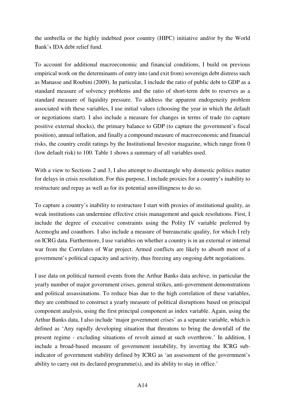the umbrella or the highly indebted poor country (HIPC) initiative and/or by the World Bank's IDA debt relief fund.

To account for additional macroeconomic and financial conditions, I build on previous empirical work on the determinants of entry into (and exit from) sovereign debt distress such as Manasse and Roubini (2009). In particular, I include the ratio of public debt to GDP as a standard measure of solvency problems and the ratio of short-term debt to reserves as a standard measure of liquidity pressure. To address the apparent endogeneity problem associated with these variables, I use initial values (choosing the year in which the default or negotiations start). I also include a measure for changes in terms of trade (to capture positive external shocks), the primary balance to GDP (to capture the government's fiscal position), annual inflation, and finally a compound measure of macroeconomic and financial risks, the country credit ratings by the Institutional Investor magazine, which range from 0 (low default risk) to 100. Table 1 shows a summary of all variables used.

With a view to Sections 2 and 3, I also attempt to disentangle why domestic politics matter for delays in crisis resolution. For this purpose, I include proxies for a country's inability to restructure and repay as well as for its potential unwillingness to do so.

To capture a country's inability to restructure I start with proxies of institutional quality, as weak institutions can undermine effective crisis management and quick resolutions. First, I include the degree of executive constraints using the Polity IV variable preferred by Acemoglu and coauthors. I also include a measure of bureaucratic quality, for which I rely on ICRG data. Furthermore, I use variables on whether a country is in an external or internal war from the Correlates of War project. Armed conflicts are likely to absorb most of a government's political capacity and activity, thus freezing any ongoing debt negotiations.

I use data on political turmoil events from the Arthur Banks data archive, in particular the yearly number of major government crises, general strikes, anti-government demonstrations and political assassinations. To reduce bias due to the high correlation of these variables, they are combined to construct a yearly measure of political disruptions based on principal component analysis, using the first principal component as index variable. Again, using the Arthur Banks data, I also include 'major government crises' as a separate variable, which is defined as 'Any rapidly developing situation that threatens to bring the downfall of the present regime - excluding situations of revolt aimed at such overthrow.' In addition, I include a broad-based measure of government instability, by inverting the ICRG subindicator of government stability defined by ICRG as 'an assessment of the government's ability to carry out its declared programme(s), and its ability to stay in office.'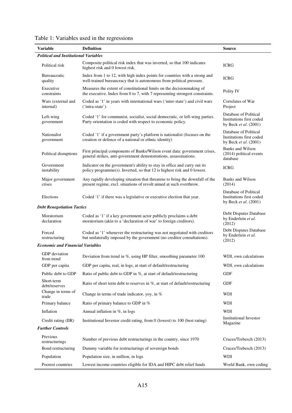| <b>Variable</b>                              | <b>Definition</b>                                                                                                                                      | <b>Source</b>                                                                |
|----------------------------------------------|--------------------------------------------------------------------------------------------------------------------------------------------------------|------------------------------------------------------------------------------|
| <b>Political and Institutional Variables</b> |                                                                                                                                                        |                                                                              |
| Political risk                               | Composite political risk index that was inverted, so that 100 indicates<br>highest risk and 0 lowest risk.                                             | <b>ICRG</b>                                                                  |
| Bureaucratic<br>quality                      | Index from 1 to 12, with high index points for countries with a strong and<br>well-trained bureaucracy that is autonomous from political pressure.     | <b>ICRG</b>                                                                  |
| Executive<br>constraints                     | Measures the extent of constitutional limits on the decision making of<br>the executive. Index from 0 to 7, with 7 representing strongest constraints. | Polity IV                                                                    |
| Wars (external and<br>internal)              | Coded as '1' in years with international wars ('inter-state') and civil wars<br>('intra-state').                                                       | Correlates of War<br>Project                                                 |
| Left-wing<br>government                      | Coded '1' for communist, socialist, social democratic, or left-wing parties.<br>Party orientation is coded with respect to economic policy.            | Database of Political<br>Institutions first coded<br>by Beck et al. $(2001)$ |
| Nationalist<br>government                    | Coded '1' if a government party's platform is nationalist (focuses on the<br>creation or defence of a national or ethnic identity)                     | Database of Political<br>Institutions first coded<br>by Beck et al. (2001)   |
| Political disruptions                        | First principal components of Banks/Wilson event data: government crises,<br>general strikes, anti-government demonstrations, assassinations.          | <b>Banks and Wilson</b><br>(2014) political events<br>database               |
| Government<br>instability                    | Indicator on the government's ability to stay in office and carry out its<br>policy programme(s). Inverted, so that 12 is highest risk and 0 lowest.   | <b>ICRG</b>                                                                  |
| Major government<br>crises                   | Any rapidly developing situation that threatens to bring the downfall of the<br>present regime, excl. situations of revolt aimed at such overthrow.    | <b>Banks and Wilson</b><br>(2014)                                            |
| Elections                                    | Coded '1' if there was a legislative or executive election that year.                                                                                  | Database of Political<br>Institutions first coded<br>by Beck et al. $(2001)$ |
| <b>Debt Renegotiation Tactics</b>            |                                                                                                                                                        |                                                                              |
| Moratorium<br>declaration                    | Coded as '1' if a key government actor publicly proclaims a debt<br>moratorium (akin to a 'declaration of war' to foreign creditors).                  | Debt Disputes Database<br>by Enderlein et al.<br>(2012)                      |
| Forced<br>restructuring                      | Coded as '1' whenever the restructuring was not negotiated with creditors<br>but unilaterally imposed by the government (no creditor consultations).   | Debt Disputes Database<br>by Enderlein et al.<br>(2012)                      |
| <b>Economic and Financial Variables</b>      |                                                                                                                                                        |                                                                              |
| GDP deviation<br>from trend                  | Deviation from trend in $\%$ , using HP filter, smoothing parameter 100                                                                                | WDI, own calculations                                                        |
| GDP per capita                               | GDP per capita, real, in logs, at start of default/restructuring                                                                                       | WDI, own calculations                                                        |
| Public debt to GDP                           | Ratio of public debt to GDP in %, at start of default/restructuring                                                                                    | GDF                                                                          |
| Short-term<br>debt/reserves                  | Ratio of short term debt to reserves in %, at start of default/restructuring                                                                           | <b>GDF</b>                                                                   |
| Change in terms of<br>trade                  | Change in terms of trade indicator, yoy, in $%$                                                                                                        | WDI                                                                          |
| Primary balance                              | Ratio of primary balance to GDP in %                                                                                                                   | WDI                                                                          |
| Inflation                                    | Annual inflation in %, in logs                                                                                                                         | WDI                                                                          |
| Credit rating (IIR)                          | Institutional Investor credit rating, from 0 (lowest) to 100 (best rating)                                                                             | <b>Institutional Investor</b><br>Magazine                                    |
| <b>Further Controls</b>                      |                                                                                                                                                        |                                                                              |
| Previous<br>restructurings                   | Number of previous debt restructurings in the country, since 1970                                                                                      | Cruces/Trebesch (2013)                                                       |
| Bond restructuring                           | Dummy variable for restructurings of sovereign bonds                                                                                                   | Cruces/Trebesch (2013)                                                       |
| Population                                   | Population size, in million, in logs                                                                                                                   | WDI                                                                          |
| Poorest countries                            | Lowest income countries eligible for IDA and HIPC debt relief funds                                                                                    | World Bank, own coding                                                       |

|  |  |  | Table 1: Variables used in the regressions |
|--|--|--|--------------------------------------------|
|  |  |  |                                            |
|  |  |  |                                            |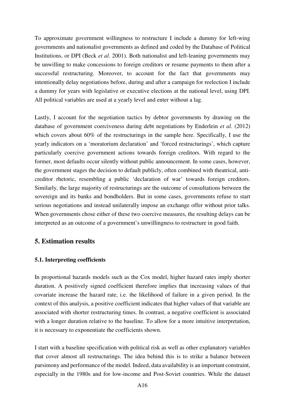To approximate government willingness to restructure I include a dummy for left-wing governments and nationalist governments as defined and coded by the Database of Political Institutions, or DPI (Beck *et al*. 2001). Both nationalist and left-leaning governments may be unwilling to make concessions to foreign creditors or resume payments to them after a successful restructuring. Moreover, to account for the fact that governments may intentionally delay negotiations before, during and after a campaign for reelection I include a dummy for years with legislative or executive elections at the national level, using DPI. All political variables are used at a yearly level and enter without a lag.

Lastly, I account for the negotiation tactics by debtor governments by drawing on the database of government coerciveness during debt negotiations by Enderlein *et al*. (2012) which covers about 60% of the restructurings in the sample here. Specifically, I use the yearly indicators on a 'moratorium declaration' and 'forced restructurings', which capture particularly coercive government actions towards foreign creditors. With regard to the former, most defaults occur silently without public announcement. In some cases, however, the government stages the decision to default publicly, often combined with theatrical, anticreditor rhetoric, resembling a public 'declaration of war' towards foreign creditors. Similarly, the large majority of restructurings are the outcome of consultations between the sovereign and its banks and bondholders. But in some cases, governments refuse to start serious negotiations and instead unilaterally impose an exchange offer without prior talks. When governments chose either of these two coercive measures, the resulting delays can be interpreted as an outcome of a government's unwillingness to restructure in good faith.

### **5. Estimation results**

#### **5.1. Interpreting coefficients**

In proportional hazards models such as the Cox model, higher hazard rates imply shorter duration. A positively signed coefficient therefore implies that increasing values of that covariate increase the hazard rate, i.e. the likelihood of failure in a given period. In the context of this analysis, a positive coefficient indicates that higher values of that variable are associated with shorter restructuring times. In contrast, a negative coefficient is associated with a longer duration relative to the baseline. To allow for a more intuitive interpretation, it is necessary to exponentiate the coefficients shown.

I start with a baseline specification with political risk as well as other explanatory variables that cover almost all restructurings. The idea behind this is to strike a balance between parsimony and performance of the model. Indeed, data availability is an important constraint, especially in the 1980s and for low-income and Post-Soviet countries. While the dataset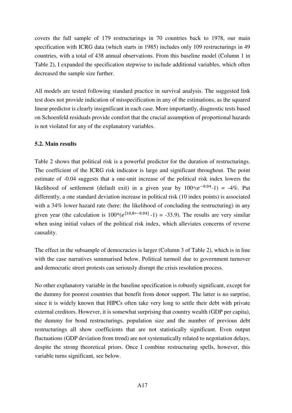covers the full sample of 179 restructurings in 70 countries back to 1978, our main specification with ICRG data (which starts in 1985) includes only 109 restructurings in 49 countries, with a total of 438 annual observations. From this baseline model (Column 1 in Table 2), I expanded the specification stepwise to include additional variables, which often decreased the sample size further.

All models are tested following standard practice in survival analysis. The suggested link test does not provide indication of misspecification in any of the estimations, as the squared linear predictor is clearly insignificant in each case. More importantly, diagnostic tests based on Schoenfeld residuals provide comfort that the crucial assumption of proportional hazards is not violated for any of the explanatory variables.

#### **5.2. Main results**

Table 2 shows that political risk is a powerful predictor for the duration of restructurings. The coefficient of the ICRG risk indicator is large and significant throughout. The point estimate of -0.04 suggests that a one-unit increase of the political risk index lowers the likelihood of settlement (default exit) in a given year by  $100*(e^{-0.04}-1) = -4\%$ . Put differently, a one standard deviation increase in political risk (10 index points) is associated with a 34% lower hazard rate (here: the likelihood of concluding the restructuring) in any given year (the calculation is  $100*(e^{[10,8*-0.04]} - 1) = -33.9$ ). The results are very similar when using initial values of the political risk index, which alleviates concerns of reverse causality.

The effect in the subsample of democracies is larger (Column 3 of Table 2), which is in line with the case narratives summarised below. Political turmoil due to government turnover and democratic street protests can seriously disrupt the crisis resolution process.

No other explanatory variable in the baseline specification is robustly significant, except for the dummy for poorest countries that benefit from donor support. The latter is no surprise, since it is widely known that HIPCs often take very long to settle their debt with private external creditors. However, it is somewhat surprising that country wealth (GDP per capita), the dummy for bond restructurings, population size and the number of previous debt restructurings all show coefficients that are not statistically significant. Even output fluctuations (GDP deviation from trend) are not systematically related to negotiation delays, despite the strong theoretical priors. Once I combine restructuring spells, however, this variable turns significant, see below.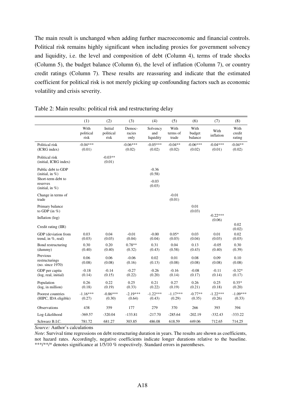The main result is unchanged when adding further macroeconomic and financial controls. Political risk remains highly significant when including proxies for government solvency and liquidity, i.e. the level and composition of debt (Column 4), terms of trade shocks (Column 5), the budget balance (Column 6), the level of inflation (Column 7), or country credit ratings (Column 7). These results are reassuring and indicate that the estimated coefficient for political risk is not merely picking up confounding factors such as economic volatility and crisis severity.

|                                                                                                  | (1)                       | (2)                          | (3)                      | (4)                                    | (5)                       | (6)                       | (7)                  | (8)                      |
|--------------------------------------------------------------------------------------------------|---------------------------|------------------------------|--------------------------|----------------------------------------|---------------------------|---------------------------|----------------------|--------------------------|
|                                                                                                  | With<br>political<br>risk | Initial<br>political<br>risk | Democ-<br>racies<br>only | Solvency<br>and<br>liquidity           | With<br>terms of<br>trade | With<br>budget<br>balance | With<br>inflation    | With<br>credit<br>rating |
| Political risk<br>(ICRG index)                                                                   | $-0.04***$<br>(0.01)      |                              | $-0.06***$<br>(0.02)     | $-0.05***$<br>(0.02)                   | $-0.04**$<br>(0.02)       | $-0.06***$<br>(0.02)      | $-0.04***$<br>(0.01) | $-0.04**$<br>(0.02)      |
| Political risk<br>(initial, ICRG index)                                                          |                           | $-0.03**$<br>(0.01)          |                          |                                        |                           |                           |                      |                          |
| Public debt to GDP<br>(initial, in $%$ )<br>Short-term debt to<br>reserves<br>(initial, in $%$ ) |                           |                              |                          | $-0.36$<br>(0.58)<br>$-0.03$<br>(0.03) |                           |                           |                      |                          |
| Change in terms of<br>trade                                                                      |                           |                              |                          |                                        | $-0.01$<br>(0.01)         |                           |                      |                          |
| Primary balance<br>to GDP (in $%$ )                                                              |                           |                              |                          |                                        |                           | 0.01<br>(0.03)            |                      |                          |
| Inflation (log)                                                                                  |                           |                              |                          |                                        |                           |                           | $-0.22***$<br>(0.06) |                          |
| Credit rating (IIR)                                                                              |                           |                              |                          |                                        |                           |                           |                      | 0.02<br>(0.02)           |
| GDP (deviation from<br>trend, in $\%$ , real)                                                    | 0.03<br>(0.03)            | 0.04<br>(0.03)               | $-0.01$<br>(0.04)        | $-0.00$<br>(0.04)                      | $0.05*$<br>(0.03)         | 0.03<br>(0.04)            | 0.01<br>(0.03)       | 0.02<br>(0.03)           |
| Bond restructuring<br>(dummy)                                                                    | 0.30<br>(0.40)            | 0.20<br>(0.40)               | $0.78**$<br>(0.32)       | 0.31<br>(0.43)                         | 0.04<br>(0.58)            | 0.13<br>(0.43)            | $-0.05$<br>(0.40)    | 0.30<br>(0.39)           |
| Previous<br>restructurings<br>(no. since 1970)                                                   | 0.06<br>(0.08)            | 0.06<br>(0.08)               | $-0.06$<br>(0.16)        | 0.02<br>(0.13)                         | 0.01<br>(0.08)            | 0.08<br>(0.08)            | 0.09<br>(0.08)       | 0.10<br>(0.08)           |
| GDP per capita<br>(log, real, initial)                                                           | $-0.18$<br>(0.14)         | $-0.14$<br>(0.15)            | $-0.27$<br>(0.22)        | $-0.26$<br>(0.20)                      | $-0.16$<br>(0.14)         | $-0.08$<br>(0.17)         | $-0.11$<br>(0.14)    | $-0.32*$<br>(0.17)       |
| Population<br>(log, in million)                                                                  | 0.26<br>(0.18)            | 0.22<br>(0.19)               | 0.25<br>(0.33)           | 0.21<br>(0.22)                         | 0.27<br>(0.19)            | 0.26<br>(0.21)            | 0.25<br>(0.18)       | $0.35*$<br>(0.20)        |
| Poorest countries<br>(HIPC, IDA eligible)                                                        | $-1.16***$<br>(0.27)      | $-0.86***$<br>(0.30)         | $-2.19***$<br>(0.64)     | $-1.22***$<br>(0.43)                   | $-1.17***$<br>(0.29)      | $-0.77**$<br>(0.35)       | $-1.22***$<br>(0.26) | $-1.09***$<br>(0.33)     |
| Observations                                                                                     | 438                       | 359                          | 177                      | 279                                    | 370                       | 266                       | 393                  | 394                      |
| Log-Likelihood                                                                                   | $-369.57$                 | $-320.04$                    | $-133.81$                | $-217.70$                              | $-285.64$                 | $-202.19$                 | $-332.43$            | $-333.22$                |
| Schwarz B.I.C.                                                                                   | 781.72                    | 681.27                       | 303.85                   | 486.08                                 | 618.59                    | 449.06                    | 712.65               | 714.25                   |

Table 2: Main results: political risk and restructuring delay

*Source:* Author's calculations

*Note*: Survival time regressions on debt restructuring duration in years. The results are shown as coefficients, not hazard rates. Accordingly, negative coefficients indicate longer durations relative to the baseline. \*\*\*/\*\*/\* denotes significance at 1/5/10 % respectively. Standard errors in parentheses.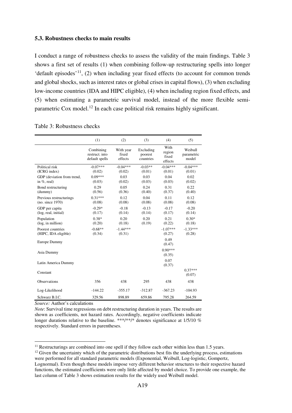#### **5.3. Robustness checks to main results**

I conduct a range of robustness checks to assess the validity of the main findings. Table 3 shows a first set of results (1) when combining follow-up restructuring spells into longer 'default episodes'<sup>[11](#page-20-0)</sup>, (2) when including year fixed effects (to account for common trends and global shocks, such as interest rates or global crises in capital flows), (3) when excluding low-income countries (IDA and HIPC eligible), (4) when including region fixed effects, and (5) when estimating a parametric survival model, instead of the more flexible semi-parametric Cox model.<sup>[12](#page-20-1)</sup> In each case political risk remains highly significant.

| Table 3: Robustness checks |  |
|----------------------------|--|
|----------------------------|--|

|                            | (1)                                           | (2)                           | (3)                               | (4)                                | (5)                            |
|----------------------------|-----------------------------------------------|-------------------------------|-----------------------------------|------------------------------------|--------------------------------|
|                            | Combining<br>restruct. into<br>default spells | With year<br>fixed<br>effects | Excluding<br>poorest<br>countries | With<br>region<br>fixed<br>effects | Weibull<br>parametric<br>model |
| Political risk             | $-0.07***$                                    | $-0.04***$                    | $-0.03**$                         | $-0.04***$                         | $-0.04***$                     |
| (ICRG index)               | (0.02)                                        | (0.02)                        | (0.01)                            | (0.01)                             | (0.01)                         |
| GDP (deviation from trend, | $0.09***$                                     | 0.03                          | 0.03                              | 0.04                               | 0.02                           |
| in $\%$ , real)            | (0.03)                                        | (0.02)                        | (0.03)                            | (0.03)                             | (0.02)                         |
| Bond restructuring         | 0.29                                          | 0.05                          | 0.24                              | 0.31                               | 0.22                           |
| (dummy)                    | (0.56)                                        | (0.36)                        | (0.40)                            | (0.37)                             | (0.40)                         |
| Previous restructurings    | $0.31***$                                     | 0.12                          | 0.04                              | 0.11                               | 0.12                           |
| (no. since 1970)           | (0.08)                                        | (0.08)                        | (0.08)                            | (0.08)                             | (0.08)                         |
| GDP per capita             | $-0.29*$                                      | $-0.18$                       | $-0.13$                           | $-0.17$                            | $-0.20$                        |
| (log, real, initial)       | (0.17)                                        | (0.14)                        | (0.14)                            | (0.17)                             | (0.14)                         |
| Population                 | $0.38*$                                       | 0.20                          | 0.20                              | 0.21                               | $0.30*$                        |
| (log, in million)          | (0.20)                                        | (0.18)                        | (0.19)                            | (0.22)                             | (0.18)                         |
| Poorest countries          | $-0.68**$                                     | $-1.44***$                    |                                   | $-1.07***$                         | $-1.33***$                     |
| (HIPC, IDA eligible)       | (0.34)                                        | (0.31)                        |                                   | (0.27)                             | (0.28)                         |
| Europe Dummy               |                                               |                               |                                   | 0.49<br>(0.47)                     |                                |
| Asia Dummy                 |                                               |                               |                                   | $0.90***$<br>(0.35)                |                                |
| Latin America Dummy        |                                               |                               |                                   | 0.07<br>(0.37)                     |                                |
| Constant                   |                                               |                               |                                   |                                    | $0.37***$<br>(0.07)            |
| Observations               | 356                                           | 438                           | 295                               | 438                                | 438                            |
| Log-Likelihood             | $-144.22$                                     | $-355.17$                     | $-312.87$                         | $-367.23$                          | $-104.93$                      |
| Schwarz B.I.C.             | 329.56                                        | 898.89                        | 659.86                            | 795.28                             | 264.59                         |

*Source:* Author's calculations

 $\overline{a}$ 

*Note*: Survival time regressions on debt restructuring duration in years. The results are shown as coefficients, not hazard rates. Accordingly, negative coefficients indicate longer durations relative to the baseline. \*\*\*/\*\*/\* denotes significance at 1/5/10 % respectively. Standard errors in parentheses.

<span id="page-20-0"></span> $11$  Restructurings are combined into one spell if they follow each other within less than 1.5 years.

<span id="page-20-1"></span> $12$  Given the uncertainty which of the parametric distributions best fits the underlying process, estimations were performed for all standard parametric models (Exponential, Weibull, Log-logistic, Gompertz, Lognormal). Even though these models impose very different behavior structures to their respective hazard

functions, the estimated coefficients were only little affected by model choice. To provide one example, the last column of Table 3 shows estimation results for the widely used Weibull model.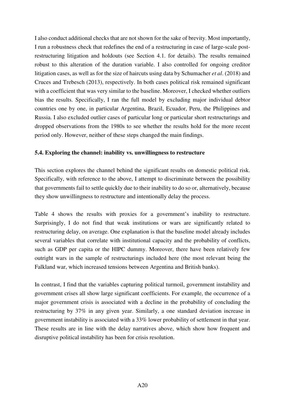I also conduct additional checks that are not shown for the sake of brevity. Most importantly, I run a robustness check that redefines the end of a restructuring in case of large-scale postrestructuring litigation and holdouts (see Section 4.1. for details). The results remained robust to this alteration of the duration variable. I also controlled for ongoing creditor litigation cases, as well as for the size of haircuts using data by Schumacher *et al*. (2018) and Cruces and Trebesch (2013), respectively. In both cases political risk remained significant with a coefficient that was very similar to the baseline. Moreover, I checked whether outliers bias the results. Specifically, I ran the full model by excluding major individual debtor countries one by one, in particular Argentina, Brazil, Ecuador, Peru, the Philippines and Russia. I also excluded outlier cases of particular long or particular short restructurings and dropped observations from the 1980s to see whether the results hold for the more recent period only. However, neither of these steps changed the main findings.

#### **5.4. Exploring the channel: inability vs. unwillingness to restructure**

This section explores the channel behind the significant results on domestic political risk. Specifically, with reference to the above, I attempt to discriminate between the possibility that governments fail to settle quickly due to their inability to do so or, alternatively, because they show unwillingness to restructure and intentionally delay the process.

Table 4 shows the results with proxies for a government's inability to restructure. Surprisingly, I do not find that weak institutions or wars are significantly related to restructuring delay, on average. One explanation is that the baseline model already includes several variables that correlate with institutional capacity and the probability of conflicts, such as GDP per capita or the HIPC dummy. Moreover, there have been relatively few outright wars in the sample of restructurings included here (the most relevant being the Falkland war, which increased tensions between Argentina and British banks).

In contrast, I find that the variables capturing political turmoil, government instability and government crises all show large significant coefficients. For example, the occurrence of a major government crisis is associated with a decline in the probability of concluding the restructuring by 37% in any given year. Similarly, a one standard deviation increase in government instability is associated with a 33% lower probability of settlement in that year. These results are in line with the delay narratives above, which show how frequent and disruptive political instability has been for crisis resolution.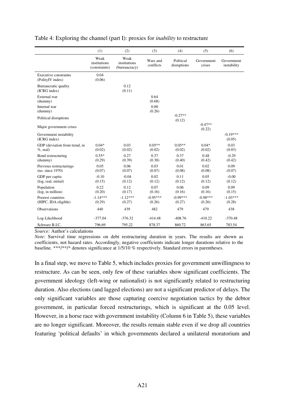|                                                    | (1)                                   | (2)                                   | (3)                              | (4)                      | (5)                  | (6)                       |
|----------------------------------------------------|---------------------------------------|---------------------------------------|----------------------------------|--------------------------|----------------------|---------------------------|
|                                                    | Weak<br>institutions<br>(constraints) | Weak<br>institutions<br>(bureaucracy) | Wars and<br>conflicts            | Political<br>disruptions | Government<br>crises | Government<br>instability |
| Executive constraints<br>(PolityIV index)          | 0.04<br>(0.06)                        |                                       |                                  |                          |                      |                           |
| Bureaucratic quality<br>(ICRG index)               |                                       | 0.12<br>(0.11)                        |                                  |                          |                      |                           |
| External war<br>(dummy)<br>Internal war<br>(dummy) |                                       |                                       | 0.64<br>(0.68)<br>0.00<br>(0.26) |                          |                      |                           |
| Political disruptions                              |                                       |                                       |                                  | $-0.27**$<br>(0.12)      |                      |                           |
| Major government crises                            |                                       |                                       |                                  |                          | $-0.47**$<br>(0.22)  |                           |
| Government instability<br>(ICRG index)             |                                       |                                       |                                  |                          |                      | $-0.19***$<br>(0.05)      |
| GDP (deviation from trend, in<br>$\%$ , real)      | $0.04*$<br>(0.02)                     | 0.03<br>(0.02)                        | $0.05**$<br>(0.02)               | $0.05**$<br>(0.02)       | $0.04*$<br>(0.02)    | 0.03<br>(0.03)            |
| Bond restructuring<br>(dummy)                      | $0.55*$<br>(0.29)                     | 0.27<br>(0.39)                        | 0.37<br>(0.38)                   | 0.37<br>(0.40)           | 0.48<br>(0.42)       | $-0.29$<br>(0.42)         |
| Previous restructurings<br>(no. since 1970)        | 0.05<br>(0.07)                        | 0.06<br>(0.07)                        | 0.03<br>(0.07)                   | 0.01<br>(0.08)           | 0.02<br>(0.08)       | 0.09<br>(0.07)            |
| GDP per capita<br>(log, real, initial)             | $-0.10$<br>(0.15)                     | $-0.04$<br>(0.12)                     | 0.02<br>(0.12)                   | 0.11<br>(0.12)           | 0.05<br>(0.12)       | $-0.00$<br>(0.12)         |
| Population<br>(log, in million)                    | 0.22<br>(0.20)                        | 0.12<br>(0.17)                        | 0.07<br>(0.16)                   | 0.06<br>(0.16)           | 0.09<br>(0.16)       | 0.09<br>(0.15)            |
| Poorest countries<br>(HIPC, IDA eligible)          | $-1.14***$<br>(0.29)                  | $-1.12***$<br>(0.27)                  | $-0.95***$<br>(0.26)             | $-0.99***$<br>(0.27)     | $-0.98***$<br>(0.26) | $-1.03***$<br>(0.28)      |
| Observations                                       | 440                                   | 439                                   | 482                              | 479                      | 479                  | 438                       |
| Log-Likelihood                                     | $-377.04$                             | $-376.32$                             | $-414.48$                        | $-408.76$                | $-410.22$            | $-370.48$                 |
| Schwarz B.I.C.                                     | 796.69                                | 795.22                                | 878.37                           | 860.72                   | 863.65               | 783.54                    |

| Table 4: Exploring the channel (part I): proxies for <i>inability</i> to restructure |  |  |  |  |
|--------------------------------------------------------------------------------------|--|--|--|--|
|--------------------------------------------------------------------------------------|--|--|--|--|

*Source:* Author's calculations

*Note*: Survival time regressions on debt restructuring duration in years. The results are shown as coefficients, not hazard rates. Accordingly, negative coefficients indicate longer durations relative to the baseline. \*\*\*/\*\*/\* denotes significance at 1/5/10 % respectively. Standard errors in parentheses.

In a final step, we move to Table 5, which includes proxies for government unwillingness to restructure. As can be seen, only few of these variables show significant coefficients. The government ideology (left-wing or nationalist) is not significantly related to restructuring duration. Also elections (and lagged elections) are not a significant predictor of delays. The only significant variables are those capturing coercive negotiation tactics by the debtor government, in particular forced restructurings, which is significant at the 0.05 level. However, in a horse race with government instability (Column 6 in Table 5), these variables are no longer significant. Moreover, the results remain stable even if we drop all countries featuring 'political defaults' in which governments declared a unilateral moratorium and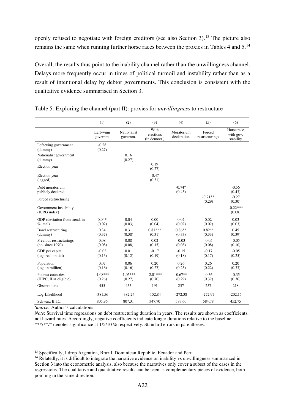openly refused to negotiate with foreign creditors (see also Section 3).[13](#page-23-0) The picture also remains the same when running further horse races between the proxies in Tables 4 and 5.[14](#page-23-1)

Overall, the results thus point to the inability channel rather than the unwillingness channel. Delays more frequently occur in times of political turmoil and instability rather than as a result of intentional delay by debtor governments. This conclusion is consistent with the qualitative evidence summarised in Section 3.

|                                              | (1)                   | (2)                     | (3)                               | (4)                       | (5)                      | (6)                                  |
|----------------------------------------------|-----------------------|-------------------------|-----------------------------------|---------------------------|--------------------------|--------------------------------------|
|                                              | Left-wing<br>governm. | Nationalist<br>governm. | With<br>elections<br>(in democr.) | Moratorium<br>declaration | Forced<br>restructurings | Horse race<br>with gov.<br>stability |
| Left-wing government<br>(dummy)              | $-0.28$<br>(0.27)     |                         |                                   |                           |                          |                                      |
| Nationalist government<br>(dummy)            |                       | 0.16<br>(0.27)          |                                   |                           |                          |                                      |
| Election year                                |                       |                         | 0.19<br>(0.27)                    |                           |                          |                                      |
| Election year<br>(lagged)                    |                       |                         | $-0.47$<br>(0.31)                 |                           |                          |                                      |
| Debt moratorium<br>publicly declared         |                       |                         |                                   | $-0.74*$<br>(0.43)        |                          | $-0.56$<br>(0.43)                    |
| Forced restructuring                         |                       |                         |                                   |                           | $-0.71**$<br>(0.29)      | $-0.27$<br>(0.30)                    |
| Government instability<br>(ICRG index)       |                       |                         |                                   |                           |                          | $-0.22***$<br>(0.08)                 |
| GDP (deviation from trend, in<br>$%$ , real) | $0.04*$<br>(0.02)     | 0.04<br>(0.03)          | 0.00<br>(0.04)                    | 0.02<br>(0.02)            | 0.02<br>(0.02)           | 0.03<br>(0.03)                       |
| Bond restructuring<br>(dummy)                | 0.34<br>(0.37)        | 0.31<br>(0.38)          | $0.81***$<br>(0.31)               | $0.86**$<br>(0.33)        | $0.82**$<br>(0.33)       | 0.45<br>(0.39)                       |
| Previous restructurings<br>(no. since 1970)  | 0.08<br>(0.08)        | 0.08<br>(0.08)          | 0.02<br>(0.15)                    | $-0.03$<br>(0.08)         | $-0.05$<br>(0.08)        | $-0.05$<br>(0.10)                    |
| GDP per capita<br>(log, real, initial)       | $-0.02$<br>(0.13)     | 0.01<br>(0.12)          | $-0.17$<br>(0.19)                 | $-0.15$<br>(0.18)         | $-0.17$<br>(0.17)        | $-0.05$<br>(0.25)                    |
| Population<br>(log, in million)              | 0.07<br>(0.16)        | 0.06<br>(0.16)          | 0.20<br>(0.27)                    | 0.26<br>(0.23)            | 0.26<br>(0.22)           | 0.20<br>(0.33)                       |
| Poorest countries<br>(HIPC, IDA eligible)    | $-1.08***$<br>(0.26)  | $-1.05***$<br>(0.27)    | $-2.01***$<br>(0.70)              | $-0.67**$<br>(0.29)       | $-0.36$<br>(0.32)        | $-0.35$<br>(0.36)                    |
| Observations                                 | 455                   | 455                     | 191                               | 257                       | 257                      | 218                                  |
| Log-Likelihood                               | $-381.56$             | $-382.24$               | $-152.84$                         | $-272.38$                 | $-272.97$                | $-202.15$                            |
| Schwarz B.I.C.                               | 805.96                | 807.31                  | 347.70                            | 583.60                    | 584.78                   | 452.75                               |

| Table 5: Exploring the channel (part II): proxies for <i>unwillingness</i> to restructure |  |  |
|-------------------------------------------------------------------------------------------|--|--|
|                                                                                           |  |  |

*Source:* Author's calculations

 $\overline{a}$ 

*Note*: Survival time regressions on debt restructuring duration in years. The results are shown as coefficients, not hazard rates. Accordingly, negative coefficients indicate longer durations relative to the baseline. \*\*\*/\*\*/\* denotes significance at 1/5/10 % respectively. Standard errors in parentheses.

<sup>13</sup> Specifically, I drop Argentina, Brazil, Dominican Republic, Ecuador and Peru.

<span id="page-23-1"></span><span id="page-23-0"></span><sup>&</sup>lt;sup>14</sup> Relatedly, it is difficult to integrate the narrative evidence on inability vs unwillingness summarized in Section 3 into the econometric analysis, also because the narratives only cover a subset of the cases in the regressions. The qualitative and quantitative results can be seen as complementary pieces of evidence, both pointing in the same direction.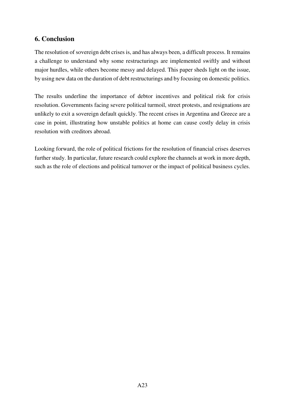## **6. Conclusion**

The resolution of sovereign debt crises is, and has always been, a difficult process. It remains a challenge to understand why some restructurings are implemented swiftly and without major hurdles, while others become messy and delayed. This paper sheds light on the issue, by using new data on the duration of debt restructurings and by focusing on domestic politics.

The results underline the importance of debtor incentives and political risk for crisis resolution. Governments facing severe political turmoil, street protests, and resignations are unlikely to exit a sovereign default quickly. The recent crises in Argentina and Greece are a case in point, illustrating how unstable politics at home can cause costly delay in crisis resolution with creditors abroad.

Looking forward, the role of political frictions for the resolution of financial crises deserves further study. In particular, future research could explore the channels at work in more depth, such as the role of elections and political turnover or the impact of political business cycles.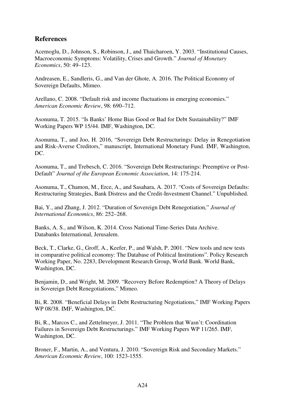## **References**

Acemoglu, D., Johnson, S., Robinson, J., and Thaicharoen, Y. 2003. "Institutional Causes, Macroeconomic Symptoms: Volatility, Crises and Growth." *Journal of Monetary Economics*, 50: 49–123.

Andreasen, E., Sandleris, G., and Van der Ghote, A. 2016. The Political Economy of Sovereign Defaults, Mimeo.

Arellano, C. 2008. "Default risk and income fluctuations in emerging economies." *American Economic Review*, 98: 690–712.

Asonuma, T. 2015. "Is Banks' Home Bias Good or Bad for Debt Sustainability?" IMF Working Papers WP 15/44. IMF, Washington, DC.

Asonuma, T., and Joo, H. 2016, "Sovereign Debt Restructurings: Delay in Renegotiation and Risk-Averse Creditors," manuscript, International Monetary Fund. IMF, Washington, DC.

Asonuma, T., and Trebesch, C. 2016. "Sovereign Debt Restructurings: Preemptive or Post-Default" *Journal of the European Economic Association*, 14: 175-214.

Asonuma, T., Chamon, M., Erce, A., and Sasahara, A. 2017. "Costs of Sovereign Defaults: Restructuring Strategies, Bank Distress and the Credit-Investment Channel." Unpublished.

Bai, Y., and Zhang, J. 2012. "Duration of Sovereign Debt Renegotiation," *Journal of International Economics*, 86: 252–268.

Banks, A. S., and Wilson, K. 2014. Cross National Time-Series Data Archive. Databanks International, Jerusalem.

Beck, T., Clarke, G., Groff, A., Keefer, P., and Walsh, P. 2001. "New tools and new tests in comparative political economy: The Database of Political Institutions". Policy Research Working Paper, No. 2283, Development Research Group, World Bank. World Bank, Washington, DC.

Benjamin, D., and Wright, M. 2009. "Recovery Before Redemption? A Theory of Delays in Sovereign Debt Renegotiations," Mimeo.

Bi, R. 2008. "Beneficial Delays in Debt Restructuring Negotiations," IMF Working Papers WP 08/38. IMF, Washington, DC.

Bi, R., Marcos C., and Zettelmeyer, J. 2011. "The Problem that Wasn't: Coordination Failures in Sovereign Debt Restructurings." IMF Working Papers WP 11/265. IMF, Washington, DC.

Broner, F., Martin, A., and Ventura, J. 2010. "Sovereign Risk and Secondary Markets." *American Economic Review*, 100: 1523-1555.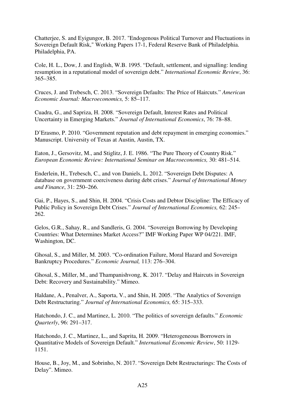Chatterjee, S. and Eyigungor, B. 2017. "Endogenous Political Turnover and Fluctuations in Sovereign Default Risk," Working Papers 17-1, Federal Reserve Bank of Philadelphia. Philadelphia, PA.

Cole, H. L., Dow, J. and English, W.B. 1995. "Default, settlement, and signalling: lending resumption in a reputational model of sovereign debt." *International Economic Review*, 36: 365–385.

Cruces, J. and Trebesch, C. 2013. "Sovereign Defaults: The Price of Haircuts." *American Economic Journal: Macroeconomics,* 5: 85–117.

Cuadra, G., and Sapriza, H. 2008. "Sovereign Default, Interest Rates and Political Uncertainty in Emerging Markets." *Journal of International Economics*, 76: 78–88.

D'Erasmo, P. 2010. "Government reputation and debt repayment in emerging economies." Manuscript. University of Texas at Austin, Austin, TX.

Eaton, J., Gersovitz, M., and Stiglitz, J. E. 1986. "The Pure Theory of Country Risk." *European Economic Review: International Seminar on Macroeconomics,* 30: 481–514.

Enderlein, H., Trebesch, C., and von Daniels, L. 2012. "Sovereign Debt Disputes: A database on government coerciveness during debt crises." *Journal of International Money and Finance*, 31: 250–266.

Gai, P., Hayes, S., and Shin, H. 2004. "Crisis Costs and Debtor Discipline: The Efficacy of Public Policy in Sovereign Debt Crises." *Journal of International Economics,* 62: 245– 262.

Gelos, G.R., Sahay, R., and Sandleris, G. 2004. "Sovereign Borrowing by Developing Countries: What Determines Market Access?" IMF Working Paper WP 04/221. IMF, Washington, DC.

Ghosal, S., and Miller, M. 2003. "Co-ordination Failure, Moral Hazard and Sovereign Bankruptcy Procedures." *Economic Journal,* 113: 276–304.

Ghosal, S., Miller, M., and Thampanishvong, K. 2017. "Delay and Haircuts in Sovereign Debt: Recovery and Sustainability." Mimeo.

Haldane, A., Penalver, A., Saporta, V., and Shin, H. 2005. "The Analytics of Sovereign Debt Restructuring." *Journal of International Economics,* 65: 315–333.

Hatchondo, J. C., and Martinez, L. 2010. "The politics of sovereign defaults." *Economic Quarterly*, 96: 291–317.

Hatchondo, J. C., Martinez, L., and Saprita, H. 2009. "Heterogeneous Borrowers in Quantitative Models of Sovereign Default." *International Economic Review*, 50: 1129- 1151.

House, B., Joy, M., and Sobrinho, N. 2017. "Sovereign Debt Restructurings: The Costs of Delay". Mimeo.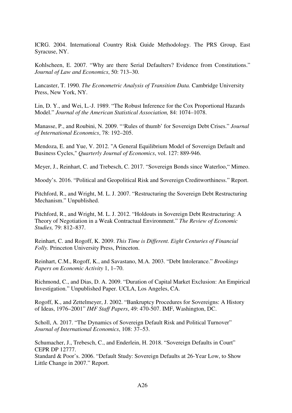ICRG. 2004. International Country Risk Guide Methodology. The PRS Group, East Syracuse, NY.

Kohlscheen, E. 2007. "Why are there Serial Defaulters? Evidence from Constitutions." *Journal of Law and Economics*, 50: 713–30.

Lancaster, T. 1990. *The Econometric Analysis of Transition Data.* Cambridge University Press, New York, NY.

Lin, D. Y., and Wei, L.-J. 1989. "The Robust Inference for the Cox Proportional Hazards Model." *Journal of the American Statistical Association,* 84: 1074–1078.

Manasse, P., and Roubini, N. 2009. "'Rules of thumb' for Sovereign Debt Crises." *Journal of International Economics*, 78: 192–205.

Mendoza, E. and Yue, V. 2012. "A General Equilibrium Model of Sovereign Default and Business Cycles," *Quarterly Journal of Economics*, vol. 127: 889-946.

Meyer, J., Reinhart, C. and Trebesch, C. 2017. "Sovereign Bonds since Waterloo," Mimeo.

Moody's. 2016. "Political and Geopolitical Risk and Sovereign Creditworthiness." Report.

Pitchford, R., and Wright, M. L. J. 2007. "Restructuring the Sovereign Debt Restructuring Mechanism." Unpublished.

Pitchford, R., and Wright, M. L. J. 2012. "Holdouts in Sovereign Debt Restructuring: A Theory of Negotiation in a Weak Contractual Environment." *The Review of Economic Studies,* 79: 812–837.

Reinhart, C. and Rogoff, K. 2009. *This Time is Different. Eight Centuries of Financial Folly.* Princeton University Press, Princeton.

Reinhart, C.M., Rogoff, K., and Savastano, M.A. 2003. "Debt Intolerance." *Brookings Papers on Economic Activity* 1, 1–70.

Richmond, C., and Dias, D. A. 2009. "Duration of Capital Market Exclusion: An Empirical Investigation." Unpublished Paper. UCLA, Los Angeles, CA.

Rogoff, K., and Zettelmeyer, J. 2002. "Bankruptcy Procedures for Sovereigns: A History of Ideas, 1976–2001" *IMF Staff Papers*, 49: 470-507. IMF, Washington, DC.

Scholl, A. 2017. "The Dynamics of Sovereign Default Risk and Political Turnover" *Journal of International Economics*, 108: 37–53.

Schumacher, J., Trebesch, C., and Enderlein, H. 2018. "Sovereign Defaults in Court" CEPR DP 12777.

Standard & Poor's. 2006. "Default Study: Sovereign Defaults at 26-Year Low, to Show Little Change in 2007." Report.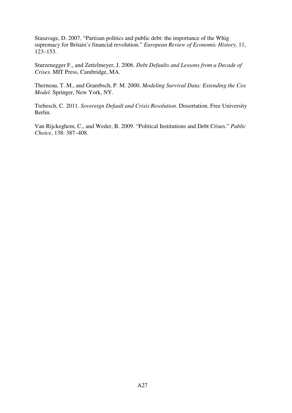Stasavage, D. 2007. "Partisan politics and public debt: the importance of the Whig supremacy for Britain's financial revolution." *European Review of Economic History,* 11, 123–153.

Sturzenegger F., and Zettelmeyer, J. 2006. *Debt Defaults and Lessons from a Decade of Crises.* MIT Press, Cambridge, MA.

Therneau, T. M., and Grambsch, P. M. 2000. *Modeling Survival Data: Extending the Cox Model.* Springer, New York, NY.

Trebesch, C. 2011. *Sovereign Default and Crisis Resolution*. Dissertation. Free University Berlin.

Van Rijckeghem, C., and Weder, B. 2009. "Political Institutions and Debt Crises." *Public Choice*, 138: 387–408.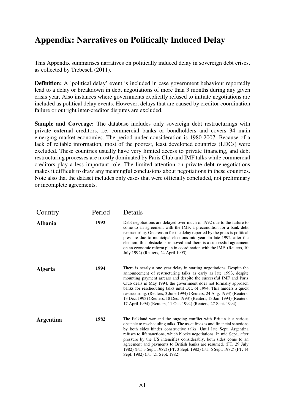## **Appendix: Narratives on Politically Induced Delay**

This Appendix summarises narratives on politically induced delay in sovereign debt crises, as collected by Trebesch (2011).

**Definition:** A 'political delay' event is included in case government behaviour reportedly lead to a delay or breakdown in debt negotiations of more than 3 months during any given crisis year. Also instances where governments explicitly refused to initiate negotiations are included as political delay events. However, delays that are caused by creditor coordination failure or outright inter-creditor disputes are excluded.

**Sample and Coverage:** The database includes only sovereign debt restructurings with private external creditors, i.e. commercial banks or bondholders and covers 34 main emerging market economies. The period under consideration is 1980-2007. Because of a lack of reliable information, most of the poorest, least developed countries (LDCs) were excluded. These countries usually have very limited access to private financing, and debt restructuring processes are mostly dominated by Paris Club and IMF talks while commercial creditors play a less important role. The limited attention on private debt renegotiations makes it difficult to draw any meaningful conclusions about negotiations in these countries. Note also that the dataset includes only cases that were officially concluded, not preliminary or incomplete agreements.

| Country          | Period | Details                                                                                                                                                                                                                                                                                                                                                                                                                                                                                                                                                                                  |
|------------------|--------|------------------------------------------------------------------------------------------------------------------------------------------------------------------------------------------------------------------------------------------------------------------------------------------------------------------------------------------------------------------------------------------------------------------------------------------------------------------------------------------------------------------------------------------------------------------------------------------|
| <b>Albania</b>   | 1992   | Debt negotiations are delayed over much of 1992 due to the failure to<br>come to an agreement with the IMF, a precondition for a bank debt<br>restructuring. One reason for the delay reported by the press is political<br>pressure due to municipal elections mid-year. In late 1992, after the<br>election, this obstacle is removed and there is a successful agreement<br>on an economic reform plan in coordination with the IMF. (Reuters, 10)<br>July 1992) (Reuters, 24 April 1993)                                                                                             |
| <b>Algeria</b>   | 1994   | There is nearly a one year delay in starting negotiations. Despite the<br>announcement of restructuring talks as early as late 1993, despite<br>mounting payment arrears and despite the successful IMF and Paris<br>Club deals in May 1994, the government does not formally approach<br>banks for rescheduling talks until Oct. of 1994. This hinders a quick<br>restructuring. (Reuters, 3 June 1994) (Reuters, 24 Aug. 1993) (Reuters,<br>13 Dec. 1993) (Reuters, 18 Dec. 1993) (Reuters, 13 Jan. 1994) (Reuters,<br>17 April 1994) (Reuters, 11 Oct. 1994) (Reuters, 27 Sept. 1994) |
| <b>Argentina</b> | 1982   | The Falkland war and the ongoing conflict with Britain is a serious<br>obstacle to rescheduling talks. The asset freezes and financial sanctions<br>by both sides hinder constructive talks. Until late Sept. Argentina<br>refuses to lift sanctions, which blocks negotiations. In mid Sept., after<br>pressure by the US intensifies considerably, both sides come to an<br>agreement and payments to British banks are resumed. (FT, 29 July<br>1982) (FT, 3 Sept. 1982) (FT, 3 Sept. 1982) (FT, 6 Sept. 1982) (FT, 14<br>Sept. 1982) (FT, 21 Sept. 1982)                             |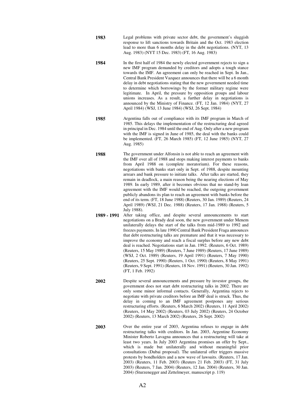- **1983** Legal problems with private sector debt, the government's sluggish response to lift sanctions towards Britain and the Oct. 1983 election lead to more than 6 months delay in the debt negotiations. (NYT, 13 Aug. 1983) (NYT 15 Dec. 1983) (FT, 16 Aug. 1983)
- **1984** In the first half of 1984 the newly elected government rejects to sign a new IMF program demanded by creditors and adopts a tough stance towards the IMF. An agreement can only be reached in Sept. In Jan., Central Bank President Vazquez announces that there will be a 6 month delay in debt negotiations stating that the new government needed time to determine which borrowings by the former military regime were legitimate. In April, the pressure by opposition groups and labour unions increases. As a result, a further delay in negotiations is announced by the Ministry of Finance. (FT, 12 Jan. 1984) (NYT, 27 April 1984) (WSJ, 13 June 1984) (WSJ, 26 Sept. 1984)
- **1985** Argentina falls out of compliance with its IMF program in March of 1985. This delays the implementation of the restructuring deal agreed in principal in Dec. 1984 until the end of Aug. Only after a new program with the IMF is signed in June of 1985, the deal with the banks could be implemented. (FT, 26 March 1985) (FT, 12 June 1985) (NYT, 27 Aug. 1985)
- **1988** The government under Alfonsin is not able to reach an agreement with the IMF over all of 1988 and stops making interest payments to banks from April 1988 on (complete moratorium). For these reasons, negotiations with banks start only in Sept. of 1988, despite mounting arrears and bank pressure to initiate talks. After talks are started, they remain in deadlock, a main reason being the nearing elections of May 1989. In early 1989, after it becomes obvious that no stand-by loan agreement with the IMF would be reached, the outgoing government publicly abandons its plan to reach an agreement with banks before the end of its term. (FT, 18 June 1988) (Reuters, 30 Jan. 1989) (Reuters, 24 April 1989) (WSJ, 21 Dec. 1988) (Reuters, 17 Jan. 1988) (Reuters, 5 July 1988).
- **1989 1991** After taking office, and despite several announcements to start negotiations on a Brady deal soon, the new government under Menem unilaterally delays the start of the talks from mid-1989 to 1992 and freezes payments. In late 1990 Central Bank President Fraga announces that debt restructuring talks are premature and that it was necessary to improve the economy and reach a fiscal surplus before any new debt deal is reached. Negotiations start in Jan. 1992. (Reuters, 6 Oct. 1989) (Reuters, 15 May 1989) (Reuters, 7 June 1989) (Reuters, 17 June 1989) (WSJ, 2 Oct. 1989) (Reuters, 19 April 1991) (Reuters, 7 May 1990) (Reuters, 25 Sept. 1990) (Reuters, 1 Oct. 1990) (Reuters, 8 May 1991) (Reuters, 9 Sept. 1991) (Reuters, 18 Nov. 1991) (Reuters, 30 Jan. 1992) (FT, 1 Feb. 1992)
- **2002** Despite several announcements and pressure by investor groups, the government does not start debt restructuring talks in 2002. There are only some minor informal contacts. Generally, Argentina rejects to negotiate with private creditors before an IMF deal is struck. Thus, the delay in coming to an IMF agreement postpones any serious restructuring efforts. (Reuters, 6 March 2002) (Reuters, 11 April 2002) (Reuters, 14 May 2002) (Reuters, 03 July 2002) (Reuters, 24 October 2002) (Reuters, 13 March 2002) (Reuters, 26 Sept. 2002)
- **2003** Over the entire year of 2003, Argentina refuses to engage in debt restructuring talks with creditors. In Jan. 2003, Argentine Economy Minister Roberto Lavagna announces that a restructuring will take at least two years. In July 2003 Argentina promises an offer by Sept., which is made but unilaterally and without meaningful prior consultations (Dubai proposal). The unilateral offer triggers massive protests by bondholders and a new wave of lawsuits. (Reuters, 17 Jan. 2003) (Reuters, 11 Feb. 2003) (Reuters 21 Feb. 2003) (FT, 31 July 2003) (Reuters, 7 Jan. 2004) (Reuters, 12 Jan. 2004) (Reuters, 30 Jan. 2004) (Sturzenegger and Zettelmeyer, manuscript p. 119)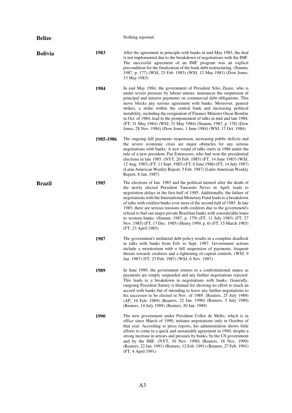| <b>Belize</b>          | Nothing reported.                                                                                                                                                                                                                                                                                                                                                                                                                                                                                                                                                                                                                                                                                           |
|------------------------|-------------------------------------------------------------------------------------------------------------------------------------------------------------------------------------------------------------------------------------------------------------------------------------------------------------------------------------------------------------------------------------------------------------------------------------------------------------------------------------------------------------------------------------------------------------------------------------------------------------------------------------------------------------------------------------------------------------|
| 1983<br><b>Bolivia</b> | After the agreement in principle with banks in mid May 1983, the deal<br>is not implemented due to the breakdown of negotiations with the IMF.<br>The successful agreement of an IMF program was an explicit<br>precondition for the finalization of the bank debt restructuring. (Stamm,<br>1987, p. 177) (WSJ, 25 Feb. 1983) (WSJ, 12 May 1983) (Dow Jones,<br>13 May 1983)                                                                                                                                                                                                                                                                                                                               |
| 1984                   | In end May 1984, the government of President Siles Zuazo, who is<br>under severe pressure by labour unions, announces the suspension of<br>principal and interest payments on commercial debt obligations. This<br>move blocks any serious agreement with banks. Moreover, general<br>strikes, a strike within the central bank and increasing political<br>instability, including the resignation of Finance Minister Oscar Bonifaz<br>in Oct. of 1984, lead to the postponement of talks in mid and late 1984.<br>(FT, 31 May 1984) (WSJ, 31 May 1984) (Stamm, 1987, p. 178) (Dow<br>Jones, 28 Nov. 1984) (Dow Jones, 1 June 1984) (WSJ, 17 Oct. 1984)                                                    |
|                        | The ongoing full payments suspension, increasing public deficits and<br>1985-1986<br>the severe economic crisis are major obstacles for any serious<br>negotiations with banks. A new round of talks starts in 1986 under the<br>rule of a new president, Paz Estenssoro, who had won the presidential<br>elections in late 1985. (NYT, 20 Feb. 1985) (FT, 14 June 1985) (WSJ,<br>12 Aug. 1985) (FT, 11 Sept. 1985) (FT, 6 June 1986) (FT, 14 July 1987)<br>(Latin American Weekly Report, 5 Feb. 1987) (Latin American Weekly<br>Report, 8 Jan. 1987)                                                                                                                                                      |
| 1985<br><b>Brazil</b>  | The elections of Jan. 1985 and the political turmoil after the death of<br>the newly elected President Tancredo Neves in April, leads to<br>negotiation delays in the first half of 1985. Additionally, the failure of<br>negotiations with the International Monetary Fund leads to a breakdown<br>of talks with creditor banks over most of the second half of 1985. In late<br>1985, there are serious tensions with creditors due to the government's<br>refusal to bail out major private Brazilian banks with considerable loans<br>to western banks. (Stamm, 1987, p. 179) (FT, 11 July 1985) (FT, 27<br>Nov. 1985) (FT, 17 Dec. 1985) (Henry 1999, p. 6) (FT, 15 March 1985)<br>(FT, 23 April 1985) |
| 1987                   | The government's unilateral debt policy results in a complete deadlock<br>in talks with banks from Feb. to Sept. 1987. Government actions<br>include a moratorium with a full suspension of payments, frequent<br>threats towards creditors and a tightening of capital controls. (WSJ, 9)<br>Jan. 1987) (FT, 23 Feb. 1987) (WSJ, 6 Nov. 1987)                                                                                                                                                                                                                                                                                                                                                              |
| 1989                   | In June 1989, the government returns to a confrontational stance as<br>payments are simply suspended and any further negotiations rejected.<br>This leads to a breakdown in negotiations with banks. Generally,<br>outgoing President Sarney is blamed for showing no effort to reach an<br>accord with banks but of intending to leave any further negotiations to<br>his successor to be elected in Nov. of 1989. (Reuters, 25 July 1989)<br>(AP, 16 Feb. 1989) (Reuters, 22 Jan. 1990) (Reuters, 5 July 1989)<br>(Reuters, 14 July 1989) (Reuters, 20 Jan. 1989)                                                                                                                                         |
| 1990                   | The new government under President Collor de Mello, which is in<br>office since March of 1990, initiates negotiations only in October of<br>that year. According to press reports, his administration shows little<br>efforts to come to a quick and sustainable agreement in 1990, despite a<br>strong increase in arrears and pressure by banks, by the US government<br>and by the IMF. (NYT, 10 Nov. 1990) (Reuters, 16 Nov. 1990)<br>(Reuters, 22 Jan. 1991) (Reuters, 12 Feb. 1991) (Reuters, 27 Feb. 1991)<br>(FT, 4 April 1991)                                                                                                                                                                     |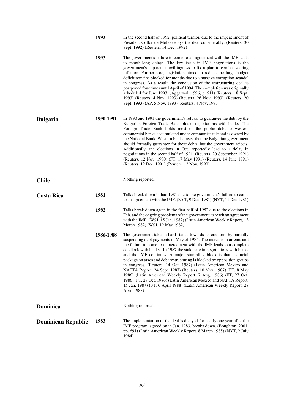|                           | 1992      | In the second half of 1992, political turmoil due to the impeachment of<br>President Collor de Mello delays the deal considerably. (Reuters, 30<br>Sept. 1992) (Reuters, 14 Dec. 1992)                                                                                                                                                                                                                                                                                                                                                                                                                                                                                                                                                                                                                          |
|---------------------------|-----------|-----------------------------------------------------------------------------------------------------------------------------------------------------------------------------------------------------------------------------------------------------------------------------------------------------------------------------------------------------------------------------------------------------------------------------------------------------------------------------------------------------------------------------------------------------------------------------------------------------------------------------------------------------------------------------------------------------------------------------------------------------------------------------------------------------------------|
|                           | 1993      | The government's failure to come to an agreement with the IMF leads<br>to month-long delays. The key issue in IMF negotiations is the<br>government's apparent unwillingness to fix a plan to combat soaring<br>inflation. Furthermore, legislation aimed to reduce the large budget<br>deficit remains blocked for months due to a massive corruption scandal<br>in congress. As a result, the conclusion of the restructuring deal is<br>postponed four times until April of 1994. The completion was originally<br>scheduled for June 1993. (Aggarwal, 1996, p. 511) (Reuters, 18 Sept.<br>1993) (Reuters, 4 Nov. 1993) (Reuters, 26 Nov. 1993). (Reuters, 20<br>Sept. 1993) (AP, 5 Nov. 1993) (Reuters, 4 Nov. 1993)                                                                                        |
| <b>Bulgaria</b>           | 1990-1991 | In 1990 and 1991 the government's refusal to guarantee the debt by the<br>Bulgarian Foreign Trade Bank blocks negotiations with banks. The<br>Foreign Trade Bank holds most of the public debt to western<br>commercial banks accumulated under communist rule and is owned by<br>the National Bank. Western banks insist that the Bulgarian government<br>should formally guarantee for these debts, but the government rejects.<br>Additionally, the elections in Oct. reportedly lead to a delay in<br>negotiations in the second half of 1991. (Reuters, 20 September 1991)<br>(Reuters, 12 Nov. 1990) (FT, 17 May 1991) (Reuters, 14 June 1991)<br>(Reuters, 12 Dec. 1991) (Reuters, 12 Nov. 1990)                                                                                                         |
| <b>Chile</b>              |           | Nothing reported.                                                                                                                                                                                                                                                                                                                                                                                                                                                                                                                                                                                                                                                                                                                                                                                               |
| <b>Costa Rica</b>         | 1981      | Talks break down in late 1981 due to the government's failure to come<br>to an agreement with the IMF. (NYT, 9 Dec. 1981) (NYT, 11 Dec 1981)                                                                                                                                                                                                                                                                                                                                                                                                                                                                                                                                                                                                                                                                    |
|                           | 1982      | Talks break down again in the first half of 1982 due to the elections in<br>Feb. and the ongoing problems of the government to reach an agreement<br>with the IMF. (WSJ, 15 Jan. 1982) (Latin American Weekly Report, 13<br>March 1982) (WSJ, 19 May 1982)                                                                                                                                                                                                                                                                                                                                                                                                                                                                                                                                                      |
|                           | 1986-1988 | The government takes a hard stance towards its creditors by partially<br>suspending debt payments in May of 1986. The increase in arrears and<br>the failure to come to an agreement with the IMF leads to a complete<br>deadlock with banks. In 1987 the stalemate in negotiations with banks<br>and the IMF continues. A major stumbling block is that a crucial<br>package on taxes and debt restructuring is blocked by opposition groups<br>in congress. (Reuters, 14 Oct. 1987) (Latin American Mexico and<br>NAFTA Report, 24 Sept. 1987) (Reuters, 10 Nov. 1987) (FT, 8 May<br>1986) (Latin American Weekly Report, 7 Aug. 1986) (FT, 27 Oct.<br>1986) (FT, 27 Oct. 1986) (Latin American Mexico and NAFTA Report,<br>15 Jan. 1987) (FT, 6 April 1988) (Latin American Weekly Report, 28<br>April 1988) |
| <b>Dominica</b>           |           | Nothing reported                                                                                                                                                                                                                                                                                                                                                                                                                                                                                                                                                                                                                                                                                                                                                                                                |
| <b>Dominican Republic</b> | 1983      | The implementation of the deal is delayed for nearly one year after the<br>IMF program, agreed on in Jan. 1983, breaks down. (Boughton, 2001,<br>pp. 691) (Latin American Weekly Report, 8 March 1985) (NYT, 2 July<br>1984)                                                                                                                                                                                                                                                                                                                                                                                                                                                                                                                                                                                    |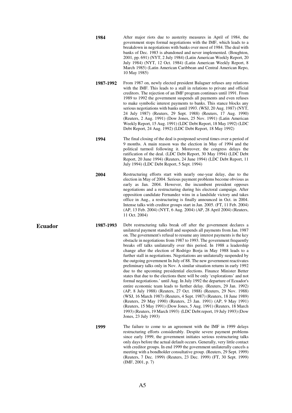- **1984** After major riots due to austerity measures in April of 1984, the government stops formal negotiations with the IMF, which leads to a breakdown in negotiations with banks over most of 1984. The deal with banks of Dec. 1983 is abandoned and never implemented. (Boughton, 2001, pp. 691) (NYT, 2 July 1984) (Latin American Weekly Report, 20 July 1984) (NYT, 12 Oct. 1984) (Latin American Weekly Report, 8 March 1985) (Latin American Caribbean and Central American Repo, 10 May 1985)
- **1987-1992** From 1987 on, newly elected president Balaguer refuses any relations with the IMF. This leads to a stall in relations to private and official creditors. The rejection of an IMF program continues until 1991. From 1989 to 1992 the government suspends all payments and even refuses to make symbolic interest payments to banks. This stance blocks any serious negotiations with banks until 1993. (WSJ, 20 Aug. 1987) (NYT, 24 July 1987) (Reuters, 29 Sept. 1988) (Reuters, 17 Aug. 1990) (Reuters, 2 Aug. 1991) (Dow Jones, 25 Nov. 1991) (Latin American Weekly Report, 15 Aug. 1991) (LDC Debt Report, 18 May 1992) (LDC Debt Report, 24 Aug. 1992) (LDC Debt Report, 18 May 1992)
- **1994** The final closing of the deal is postponed several times over a period of 9 months. A main reason was the election in May of 1994 and the political turmoil following it. Moreover, the congress delays the ratification of the deal. (LDC Debt Report, 30 May 1994) (LDC Debt Report, 20 June 1994) (Reuters, 24 June 1994) (LDC Debt Report, 11 July 1994) (LDC Debt Report, 5 Sept. 1994)
- **2004** Restructuring efforts start with nearly one-year delay, due to the election in May of 2004. Serious payment problems become obvious as early as Jan. 2004. However, the incumbent president opposes negotiations and a restructuring during his electoral campaign. After opposition candidate Fernandez wins in a landslide victory and takes office in Aug., a restructuring is finally announced in Oct. in 2004. Intense talks with creditor groups start in Jan. 2005. (FT, 11 Feb. 2004) (AP, 13 Feb. 2004) (NYT, 6 Aug. 2004) (AP, 28 April 2004) (Reuters, 11 Oct. 2004)
- **Ecuador 1987-1993** Debt restructuring talks break off after the government declares a unilateral payment standstill and suspends all payments from Jan. 1987 on. The government's refusal to resume any interest payments is the key obstacle in negotiations from 1987 to 1993. The government frequently breaks off talks unilaterally over this period. In 1988 a leadership change after the election of Rodrigo Borja in May 1988 leads to a further stall in negotiations. Negotiations are unilaterally suspended by the outgoing government In July of 88. The new government reactivates preliminary talks only in Nov. A similar situation returns in early 1992 due to the upcoming presidential elections. Finance Minister Better states that due to the elections there will be only 'explorations' and not formal negotiations.' until Aug. In July 1992 the departure of Ecuador's entire economic team leads to further delay. (Reuters, 29 Jan. 1992) (AP, 8 July 1988) (Reuters, 27 Oct. 1988) (Reuters, 29 Nov. 1988) (WSJ, 16 March 1987) (Reuters, 4 Sept. 1987) (Reuters, 18 June 1989) (Reuters, 29 May 1990) (Reuters, 23 Jan. 1991) (AP, 9 May 1991) (Reuters, 15 May 1991) (Dow Jones, 5 Aug. 1991) (Reuters, 18 March 1993) (Reuters, 19 March 1993) (LDC Debt report, 19 July 1993) (Dow Jones, 23 July 1993)
	- **1999** The failure to come to an agreement with the IMF in 1999 delays restructuring efforts considerably. Despite severe payment problems since early 1999, the government initiates serious restructuring talks only days before the actual default occurs. Generally, very little contact with creditor groups. In end 1999 the government unilaterally cancels a meeting with a bondholder consultative group. (Reuters, 29 Sept. 1999) (Reuters, 7 Dec. 1999) (Reuters, 23 Dec. 1999) (FT, 30 Sept. 1999) (IMF, 2001, p. 7)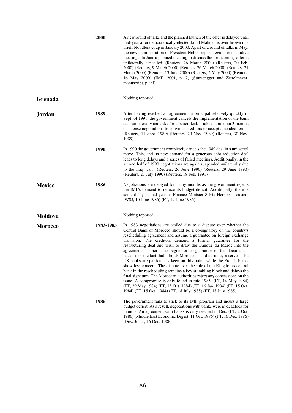|                | 2000      | A new round of talks and the planned launch of the offer is delayed until<br>mid-year after democratically-elected Jamil Mahuad is overthrown in a<br>brief, bloodless coup in January 2000. Apart of a round of talks in May,<br>the new administration of President Noboa rejects regular consultative<br>meetings. In June a planned meeting to discuss the forthcoming offer is<br>unilaterally cancelled. (Reuters, 26 March 2000) (Reuters, 20 Feb.<br>2000) (Reuters, 9 March 2000) (Reuters, 26 March 2000) (Reuters, 21<br>March 2000) (Reuters, 13 June 2000) (Reuters, 2 May 2000) (Reuters,<br>16 May 2000) (IMF, 2001, p. 7) (Sturzengger and Zettelmeyer,<br>manuscript, p. 99)                                                                                                                                                                                                                                                                                                                     |
|----------------|-----------|-------------------------------------------------------------------------------------------------------------------------------------------------------------------------------------------------------------------------------------------------------------------------------------------------------------------------------------------------------------------------------------------------------------------------------------------------------------------------------------------------------------------------------------------------------------------------------------------------------------------------------------------------------------------------------------------------------------------------------------------------------------------------------------------------------------------------------------------------------------------------------------------------------------------------------------------------------------------------------------------------------------------|
| Grenada        |           | Nothing reported                                                                                                                                                                                                                                                                                                                                                                                                                                                                                                                                                                                                                                                                                                                                                                                                                                                                                                                                                                                                  |
| Jordan         | 1989      | After having reached an agreement in principal relatively quickly in<br>Sept. of 1991, the government cancels the implementation of the bank<br>deal unilaterally and asks for a better deal. It takes more than 3 months<br>of intense negotiations to convince creditors to accept amended terms.<br>(Reuters, 11 Sept. 1989) (Reuters, 29 Nov. 1989) (Reuters, 30 Nov.<br>1989)                                                                                                                                                                                                                                                                                                                                                                                                                                                                                                                                                                                                                                |
|                | 1990      | In 1990 the government completely cancels the 1989 deal in a unilateral<br>move. This, and its new demand for a generous debt reduction deal<br>leads to long delays and a series of failed meetings. Additionally, in the<br>second half of 1990 negotiations are again suspended unilaterally due<br>to the Iraq war. (Reuters, 26 June 1990) (Reuters, 29 June 1990)<br>(Reuters, 27 July 1990) (Reuters, 18 Feb. 1991)                                                                                                                                                                                                                                                                                                                                                                                                                                                                                                                                                                                        |
| <b>Mexico</b>  | 1986      | Negotiations are delayed for many months as the government rejects<br>the IMF's demand to reduce its budget deficit. Additionally, there is<br>some delay in mid-year as Finance Minister Silvia Herzog is ousted.<br>(WSJ, 10 June 1986) (FT, 19 June 1986)                                                                                                                                                                                                                                                                                                                                                                                                                                                                                                                                                                                                                                                                                                                                                      |
| <b>Moldova</b> |           | Nothing reported                                                                                                                                                                                                                                                                                                                                                                                                                                                                                                                                                                                                                                                                                                                                                                                                                                                                                                                                                                                                  |
| <b>Morocco</b> | 1983-1985 | In 1983 negotiations are stalled due to a dispute over whether the<br>Central Bank of Morocco should be a co-signatory on the country's<br>rescheduling agreement and assume a guarantee on foreign exchange<br>provision. The creditors demand a formal guarantee for the<br>restructuring deal and wish to draw the Banque du Maroc into the<br>agreement - either as co-signer or co-guarantor of the document -<br>because of the fact that it holds Morocco's hard currency reserves. The<br>US banks are particularly keen on this point, while the French banks<br>show less concern. The dispute over the role of the Kingdom's central<br>bank in the rescheduling remains a key stumbling block and delays the<br>final signature. The Moroccan authorities reject any concessions on the<br>issue. A compromise is only found in mid-1985. (FT, 14 May 1984)<br>(FT, 29 May 1984) (FT, 15 Oct. 1984) (FT, 16 Jan. 1984) (FT, 15 Oct.<br>1984) (FT, 15 Oct. 1984) (FT, 18 July 1985) (FT, 18 July 1985) |
|                | 1986      | The government fails to stick to its IMF program and incurs a large<br>budget deficit. As a result, negotiations with banks were in deadlock for<br>months. An agreement with banks is only reached in Dec. (FT, 2 Oct.<br>1986) (Middle East Economic Digest, 11 Oct. 1986) (FT, 16 Dec. 1986)<br>(Dow Jones, 16 Dec. 1986)                                                                                                                                                                                                                                                                                                                                                                                                                                                                                                                                                                                                                                                                                      |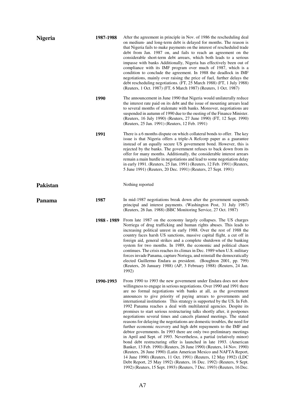| <b>Nigeria</b>  | 1987-1988   | After the agreement in principle in Nov. of 1986 the rescheduling deal<br>on medium- and long-term debt is delayed for months. The reason is<br>that Nigeria fails to make payments on the interest of rescheduled trade<br>debt from Jan. 1987 on, and fails to reach an agreement on the<br>considerable short-term debt arrears, which both leads to a serious<br>impasse with banks Additionally, Nigeria has effectively been out of<br>compliance with its IMF program over much of 1987, which is a<br>condition to conclude the agreement. In 1988 the deadlock in IMF<br>negotiations, mainly over raising the price of fuel, further delays the<br>debt rescheduling negotiations. (FT, 25 March 1988) (FT, 1 July 1988)<br>(Reuters, 1 Oct. 1987) (FT, 6 March 1987) (Reuters, 1 Oct. 1987)                                                                                                                                                                                                                                                                                                                                                                                                                                                                                                                             |
|-----------------|-------------|------------------------------------------------------------------------------------------------------------------------------------------------------------------------------------------------------------------------------------------------------------------------------------------------------------------------------------------------------------------------------------------------------------------------------------------------------------------------------------------------------------------------------------------------------------------------------------------------------------------------------------------------------------------------------------------------------------------------------------------------------------------------------------------------------------------------------------------------------------------------------------------------------------------------------------------------------------------------------------------------------------------------------------------------------------------------------------------------------------------------------------------------------------------------------------------------------------------------------------------------------------------------------------------------------------------------------------|
|                 | 1990        | The announcement in June 1990 that Nigeria would unilaterally reduce<br>the interest rate paid on its debt and the issue of mounting arrears lead<br>to several months of stalemate with banks. Moreover, negotiations are<br>suspended in autumn of 1990 due to the ousting of the Finance Minister.<br>(Reuters, 16 July 1990) (Reuters, 27 June 1990) (FT, 12 Sept. 1990)<br>(Reuters, 25 Jan. 1991) (Reuters, 12 Feb. 1991)                                                                                                                                                                                                                                                                                                                                                                                                                                                                                                                                                                                                                                                                                                                                                                                                                                                                                                    |
|                 | 1991        | There is a 6 months dispute on which collateral bonds to offer. The key<br>issue is that Nigeria offers a triple-A Refcorp paper as a guarantee<br>instead of an equally secure US government bond. However, this is<br>rejected by the banks. The government refuses to back down from its<br>offer for many months. Additionally, the considerable interest arrears<br>remain a main hurdle in negotiations and lead to some negotiation delay<br>in early 1991. (Reuters, 25 Jan. 1991) (Reuters, 12 Feb. 1991) (Reuters,<br>5 June 1991) (Reuters, 20 Dec. 1991) (Reuters, 27 Sept. 1991)                                                                                                                                                                                                                                                                                                                                                                                                                                                                                                                                                                                                                                                                                                                                      |
| <b>Pakistan</b> |             | Nothing reported                                                                                                                                                                                                                                                                                                                                                                                                                                                                                                                                                                                                                                                                                                                                                                                                                                                                                                                                                                                                                                                                                                                                                                                                                                                                                                                   |
| Panama          | 1987        | In mid-1987 negotiations break down after the government suspends<br>principal and interest payments. (Washington Post, 31 July 1987)<br>(Reuters, 26 Jan. 1988) (BBC Monitoring Service, 27 Oct. 1987)                                                                                                                                                                                                                                                                                                                                                                                                                                                                                                                                                                                                                                                                                                                                                                                                                                                                                                                                                                                                                                                                                                                            |
|                 | 1988 - 1989 | From late 1987 on the economy largely collapses. The US charges<br>Norriega of drug trafficking and human rights abuses. This leads to<br>increasing political unrest in early 1988. Over the rest of 1988 the<br>country faces harsh US sanctions, massive capital flight, a cut off in<br>foreign aid, general strikes and a complete shutdown of the banking<br>system for two months. In 1989, the economic and political chaos<br>continues. The crisis reaches its climax in Dec. 1989 when U.S. military<br>forces invade Panama, capture Noriega, and reinstall the democratically<br>elected Guillermo Endara as president. (Boughton 2001, pp. 799)<br>(Reuters, 26 January 1988) (AP, 3 February 1988) (Reuters, 24 Jan.<br>1992)                                                                                                                                                                                                                                                                                                                                                                                                                                                                                                                                                                                       |
|                 | 1990-1993   | From 1990 to 1993 the new government under Endara does not show<br>willingness to engage in serious negotiations. Over 1990 and 1991 there<br>are no formal negotiations with banks at all, as the government<br>announces to give priority of paying arrears to governments and<br>international institutions This strategy is supported by the US. In Feb.<br>1992 Panama reaches a deal with multilateral agencies. Despite its<br>promises to start serious restructuring talks shortly after, it postpones<br>negotiations several times and cancels planned meetings. The stated<br>reasons for delaying the negotiations are domestic troubles, the need for<br>further economic recovery and high debt repayments to the IMF and<br>debtor governments. In 1993 there are only two preliminary meetings<br>in April and Sept. of 1993. Nevertheless, a partial (relatively minor)<br>bond debt restructuring offer is launched in late 1993. (American<br>Banker, 13 Feb. 1990) (Reuters, 26 June 1990) (Reuters, 14 Nov. 1990)<br>(Reuters, 26 June 1990) (Latin American Mexico and NAFTA Report,<br>14 June 1990) (Reuters, 11 Oct. 1991) (Reuters, 12 May 1992) (LDC<br>Debt Report, 25 May 1992) (Reuters, 16 Dec. 1992) (Reuters, 9 Sept.<br>1992) (Reuters, 15 Sept. 1993) (Reuters, 7 Dec. 1993) (Reuters, 16 Dec. |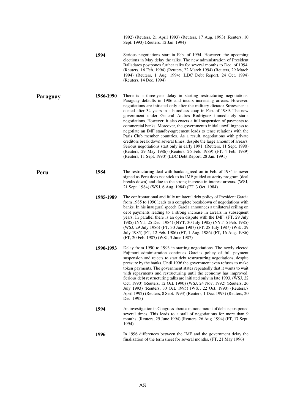|          |           | 1992) (Reuters, 21 April 1993) (Reuters, 17 Aug. 1993) (Reuters, 10<br>Sept. 1993) (Reuters, 12 Jan. 1994)                                                                                                                                                                                                                                                                                                                                                                                                                                                                                                                                                                                                                                                                                                                                                                                                                                           |
|----------|-----------|------------------------------------------------------------------------------------------------------------------------------------------------------------------------------------------------------------------------------------------------------------------------------------------------------------------------------------------------------------------------------------------------------------------------------------------------------------------------------------------------------------------------------------------------------------------------------------------------------------------------------------------------------------------------------------------------------------------------------------------------------------------------------------------------------------------------------------------------------------------------------------------------------------------------------------------------------|
|          | 1994      | Serious negotiations start in Feb. of 1994. However, the upcoming<br>elections in May delay the talks. The new administration of President<br>Balladares postpones further talks for several months to Dec. of 1994.<br>(Reuters, 16 Feb. 1994) (Reuters, 22 March 1994) (Reuters, 29 March<br>1994) (Reuters, 1 Aug. 1994) (LDC Debt Report, 24 Oct. 1994)<br>(Reuters, 14 Dec. 1994)                                                                                                                                                                                                                                                                                                                                                                                                                                                                                                                                                               |
| Paraguay | 1986-1990 | There is a three-year delay in starting restructuring negotiations.<br>Paraguay defaults in 1986 and incurs increasing arrears. However,<br>negotiations are initiated only after the military dictator Stroessner is<br>ousted after 34 years in a bloodless coup in Feb. of 1989. The new<br>government under General Andres Rodriguez immediately starts<br>negotiations. However, it also enacts a full suspension of payments to<br>commercial banks. Moreover, the government's initial unwillingness to<br>negotiate an IMF standby-agreement leads to tense relations with the<br>Paris Club member countries. As a result, negotiations with private<br>creditors break down several times, despite the large amount of arrears.<br>Serious negotiations start only in early 1991. (Reuters, 11 Sept. 1990)<br>(Reuters, 29 May 1986) (Reuters, 26 Feb. 1989) (FT, 4 Feb. 1989)<br>(Reuters, 11 Sept. 1990) (LDC Debt Report, 28 Jan. 1991) |
| Peru     | 1984      | The restructuring deal with banks agreed on in Feb. of 1984 is never<br>signed as Peru does not stick to its IMF guided austerity program (deal<br>breaks down) and due to the strong increase in interest arrears. (WSJ,<br>21 Sept. 1984) (WSJ, 6 Aug. 1984) (FT, 3 Oct. 1984)                                                                                                                                                                                                                                                                                                                                                                                                                                                                                                                                                                                                                                                                     |
|          | 1985-1989 | The confrontational and fully unilateral debt policy of President Garcia<br>from 1985 to 1990 leads to a complete breakdown of negotiations with<br>banks. In his inaugural speech Garcia announces a unilateral ceiling on<br>debt payments leading to a strong increase in arrears in subsequent<br>years. In parallel there is an open dispute with the IMF. (FT, 29 July<br>1985) (NYT, 25 Dec. 1984) (NYT, 30 July 1985) (NYT, 5 Feb. 1985)<br>(WSJ, 29 July 1986) (FT, 30 June 1987) (FT, 28 July 1987) (WSJ, 29<br>July 1985) (FT, 12 Feb. 1986) (FT, 1 Aug. 1986) (FT, 16 Aug. 1986)<br>(FT, 20 Feb. 1987) (WSJ, 3 June 1987)                                                                                                                                                                                                                                                                                                                |
|          | 1990-1993 | Delay from 1990 to 1993 in starting negotiations. The newly elected<br>Fujimori administration continues Garcias policy of full payment<br>suspension and rejects to start debt restructuring negotiations, despite<br>pressure by the banks. Until 1996 the government even refuses to make<br>token payments. The government states repeatedly that it wants to wait<br>with repayments and restructuring until the economy has improved.<br>Serious debt restructuring talks are initiated only in late 1993. (WSJ, 22<br>Oct. 1990) (Reuters, 12 Oct. 1990) (WSJ, 24 Nov. 1992) (Reuters, 26<br>July 1993) (Reuters, 30 Oct. 1995) (WSJ, 22 Oct. 1990) (Reuters, 7<br>April 1992) (Reuters, 8 Sept. 1993) (Reuters, 1 Dec. 1993) (Reuters, 20<br>Dec. 1993)                                                                                                                                                                                      |
|          | 1994      | An investigation in Congress about a minor amount of debt is postponed<br>several times. This leads to a stall of negotiations for more than 9<br>months. (Reuters, 29 June 1994) (Reuters, 26 Aug. 1994) (FT, 17 Sept.<br>1994)                                                                                                                                                                                                                                                                                                                                                                                                                                                                                                                                                                                                                                                                                                                     |
|          | 1996      | In 1996 differences between the IMF and the government delay the<br>finalization of the term sheet for several months. (FT, 21 May 1996)                                                                                                                                                                                                                                                                                                                                                                                                                                                                                                                                                                                                                                                                                                                                                                                                             |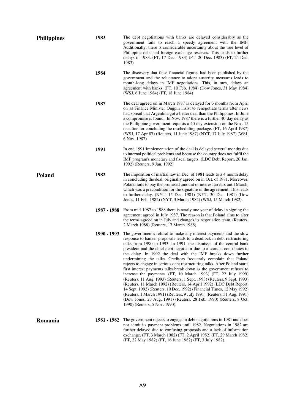| <b>Philippines</b> | 1983        | The debt negotiations with banks are delayed considerably as the<br>government fails to reach a speedy agreement with the IMF.<br>Additionally, there is considerable uncertainty about the true level of<br>Philippine debt and foreign exchange reserves. This leads to further<br>delays in 1983. (FT, 17 Dec. 1983) (FT, 20 Dec. 1983) (FT, 24 Dec.<br>1983)                                                                                                                                                                                                                                                                                                                                                                                                                                                                                                                                                                                                                                                                                                        |
|--------------------|-------------|-------------------------------------------------------------------------------------------------------------------------------------------------------------------------------------------------------------------------------------------------------------------------------------------------------------------------------------------------------------------------------------------------------------------------------------------------------------------------------------------------------------------------------------------------------------------------------------------------------------------------------------------------------------------------------------------------------------------------------------------------------------------------------------------------------------------------------------------------------------------------------------------------------------------------------------------------------------------------------------------------------------------------------------------------------------------------|
|                    | 1984        | The discovery that false financial figures had been published by the<br>government and the reluctance to adopt austerity measures leads to<br>month-long delays in IMF negotiations. This, in turn, delays an<br>agreement with banks. (FT, 10 Feb. 1984) (Dow Jones, 31 May 1984)<br>(WSJ, 6 June 1984) (FT, 18 June 1984)                                                                                                                                                                                                                                                                                                                                                                                                                                                                                                                                                                                                                                                                                                                                             |
|                    | 1987        | The deal agreed on in March 1987 is delayed for 3 months from April<br>on as Finance Minister Ongpin insist to renegotiate terms after news<br>had spread that Argentina got a better deal than the Philippines. In June<br>a compromise is found. In Nov. 1987 there is a further 40-day delay as<br>the Philippine government requests a 40-day extension on the Nov. 15<br>deadline for concluding the rescheduling package. (FT, 16 April 1987)<br>(WSJ, 17 Apr 87) (Reuters, 11 June 1987) (NYT, 17 July 1987) (WSJ,<br>6 Nov. 1987)                                                                                                                                                                                                                                                                                                                                                                                                                                                                                                                               |
|                    | 1991        | In end 1991 implementation of the deal is delayed several months due<br>to internal political problems and because the country does not fulfil the<br>IMF program's monetary and fiscal targets. (LDC Debt Report, 20 Jan.<br>1992) (Reuters, 9 Jan. 1992)                                                                                                                                                                                                                                                                                                                                                                                                                                                                                                                                                                                                                                                                                                                                                                                                              |
| Poland             | 1982        | The imposition of martial law in Dec. of 1981 leads to a 4 month delay<br>in concluding the deal, originally agreed on in Oct. of 1981. Moreover,<br>Poland fails to pay the promised amount of interest arrears until March,<br>which was a precondition for the signature of the agreement. This leads<br>to further delay. (NYT, 15 Dec. 1981) (NYT, 30 Dec. 1981) (Dow<br>Jones, 11 Feb. 1982) (NYT, 3 March 1982) (WSJ, 15 March 1982).                                                                                                                                                                                                                                                                                                                                                                                                                                                                                                                                                                                                                            |
|                    | 1987 - 1988 | From mid-1987 to 1988 there is nearly one year of delay in signing the<br>agreement agreed in July 1987. The reason is that Poland aims to alter<br>the terms agreed on in July and changes its negotiation team. (Reuters,<br>2 March 1988) (Reuters, 17 March 1988).                                                                                                                                                                                                                                                                                                                                                                                                                                                                                                                                                                                                                                                                                                                                                                                                  |
|                    | 1990 - 1993 | The government's refusal to make any interest payments and the slow<br>response to banker proposals leads to a deadlock in debt restructuring<br>talks from 1990 to 1993. In 1991, the dismissal of the central bank<br>president and the chief debt negotiator due to a scandal contributes to<br>the delay. In 1992 the deal with the IMF breaks down further<br>undermining the talks. Creditors frequently complain that Poland<br>rejects to engage in serious debt restructuring talks. After Poland starts<br>first interest payments talks break down as the government refuses to<br>increase the payments. (FT, 10 March 1993) (FT, 22 July 1999)<br>(Reuters, 11 Aug. 1993) (Reuters, 1 Sept. 1993) (Reuters, 9 Sept. 1993)<br>(Reuters, 11 March 1992) (Reuters, 14 April 1992) (LDC Debt Report,<br>14 Sept. 1992) (Reuters, 10 Dec. 1992) (Financial Times, 12 May 1992)<br>(Reuters, 1 March 1991) (Reuters, 9 July 1991) (Reuters, 31 Aug. 1991)<br>(Dow Jones, 23 Aug. 1991) (Reuters, 28 Feb. 1990) (Reuters, 8 Oct.<br>1990) (Reuters, 5 Nov. 1990). |
| Romania            |             | 1981 - 1982 The government rejects to engage in debt negotiations in 1981 and does<br>not admit its payment problems until 1982. Negotiations in 1982 are<br>further delayed due to confusing proposals and a lack of information<br>exchange. (FT, 3 March 1982) (FT, 2 April 1982) (FT, 29 March 1982)<br>(FT, 22 May 1982) (FT, 16 June 1982) (FT, 3 July 1982).                                                                                                                                                                                                                                                                                                                                                                                                                                                                                                                                                                                                                                                                                                     |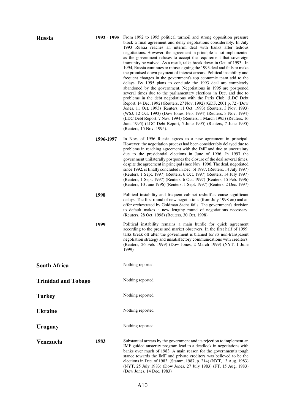| <b>Russia</b> | <b>1992 - 1995</b> From 1992 to 1995 political turnoil and strong opposition pressure |
|---------------|---------------------------------------------------------------------------------------|
|               | block a final agreement and delay negotiations considerably. In July                  |
|               | 1993 Russia reaches an interim deal with banks after tedious                          |
|               | negotiations. However, the agreement in principle is not implemented                  |
|               | as the government refuses to accept the requirement that sovereign                    |
|               | immunity be waived. As a result, talks break down in Oct. of 1993. In                 |
|               | 1994, Russia continues to refuse signing the 1993 deal and fails to make              |
|               | the promised down payment of interest arrears. Political instability and              |
|               | frequent changes in the government's top economic team add to the                     |
|               | delays. By 1995 plans to conclude the 1993 deal are completely                        |
|               | abandoned by the government. Negotiations in 1995 are postponed                       |
|               | several times due to the parliamentary elections in Dec. and due to                   |
|               | problems in the debt negotiations with the Paris Club. (LDC Debt                      |
|               | Report, 14 Dec. 1992) (Reuters, 27 Nov. 1992) (GDF, 2001 p. 72) (Dow                  |
|               | Jones, 11 Oct. 1993) (Reuters, 11 Oct. 1993) (Reuters, 3 Nov. 1993)                   |
|               | (WSJ, 12 Oct. 1993) (Dow Jones, Feb. 1994) (Reuters, 3 Nov. 1994)                     |
|               | (LDC Debt Report, 7 Nov. 1994) (Reuters, 1 March 1995) (Reuters, 16                   |
|               | June 1995) (LDC Debt Report, 5 June 1995) (Reuters, 7 June 1995)                      |
|               | (Reuters, 15 Nov. 1995).                                                              |

- **1996-1997** In Nov. of 1996 Russia agrees to a new agreement in principal. However, the negotiation process had been considerably delayed due to problems in reaching agreement with the IMF and due to uncertainty due to the presidential elections in June of 1996. In 1997 the government unilaterally postpones the closure of the deal several times, despite the agreement in principal since Nov. 1996. The deal, negotiated since 1992, is finally concluded in Dec. of 1997. (Reuters, 14 July 1997) (Reuters, 1 Sept. 1997) (Reuters, 6 Oct. 1997) (Reuters, 14 July 1997) (Reuters, 1 Sept. 1997) (Reuters, 6 Oct. 1997) (Reuters, 15 Feb. 1996) (Reuters, 10 June 1996) (Reuters, 1 Sept. 1997) (Reuters, 2 Dec. 1997)
- **1998** Political instability and frequent cabinet reshuffles cause significant delays. The first round of new negotiations (from July 1998 on) and an offer orchestrated by Goldman Sachs fails. The government's decision to default makes a new lengthy round of negotiations necessary. (Reuters, 28 Oct. 1998) (Reuters, 30 Oct. 1998)
- **1999** Political instability remains a main hurdle for quick agreement according to the press and market observers. In the first half of 1999, talks break off after the government is blamed for its non-transparent negotiation strategy and unsatisfactory communications with creditors. (Reuters, 26 Feb. 1999) (Dow Jones, 2 March 1999) (NYT, 1 June 1999)
- **South Africa** Nothing reported **Trinidad and Tobago** Nothing reported **Turkey** Nothing reported **Ukraine** Nothing reported
- **Uruguay** Nothing reported
- **Venezuela 1983** Substantial arrears by the government and its rejection to implement an IMF guided austerity program lead to a deadlock in negotiations with banks over much of 1983. A main reason for the government's tough stance towards the IMF and private creditors was believed to be the elections in Dec. of 1983. (Stamm, 1987, p. 214) (NYT, 13 Aug. 1983) (NYT, 25 July 1983) (Dow Jones, 27 July 1983) (FT, 15 Aug. 1983) (Dow Jones, 14 Dec. 1983)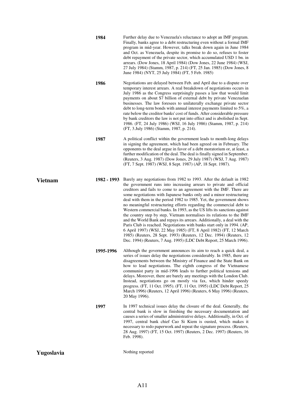- **1984** Further delay due to Venezuela's reluctance to adopt an IMF program. Finally, banks agree to a debt restructuring even without a formal IMF program in mid-year. However, talks break down again in June 1984 and Oct. as Venezuela, despite its promise to do so, refuses to foster debt repayment of the private sector, which accumulated USD 1 bn. in arrears. (Dow Jones, 18 April 1984) (Dow Jones, 22 June 1984) (WSJ, 27 July 1984) (Stamm, 1987, p. 214) (FT, 25 Jan. 1985) (Dow Jones, 8 June 1984) (NYT, 25 July 1984) (FT, 5 Feb. 1985)
- **1986** Negotiations are delayed between Feb. and April due to a dispute over temporary interest arrears. A real breakdown of negotiations occurs in July 1986 as the Congress surprisingly passes a law that would limit payments on about \$7 billion of external debt by private Venezuelan businesses. The law foresees to unilaterally exchange private sector debt to long-term bonds with annual interest payments limited to 5%, a rate below the creditor banks' cost of funds. After considerable pressure by bank creditors the law is not put into effect and is abolished in Sept. 1986. (FT, 24 July 1986) (WSJ, 16 July 1986) (Stamm, 1987, p. 214) (FT, 3.July 1986) (Stamm, 1987, p. 214).
- **1987** A political conflict within the government leads to month-long delays in signing the agreement, which had been agreed on in February. The opponents to the deal argue in favor of a debt moratorium or, at least, a further modification of the deal. The deal is finally signed in September. (Reuters, 3 Aug. 1987) (Dow Jones, 29 July 1987) (WSJ, 7 Aug. 1987) (FT, 7 Sept. 1987) (WSJ, 8 Sept. 1987) (AP, 18 Sept. 1987).
- **Vietnam 1982 1993** Barely any negotiations from 1982 to 1993. After the default in 1982 the government runs into increasing arrears to private and official creditors and fails to come to an agreement with the IMF. There are some negotiations with Japanese banks only and a minor restructuring deal with them in the period 1982 to 1985. Yet, the government shows no meaningful restructuring efforts regarding the commercial debt to Western commercial banks. In 1993, as the US lifts its sanctions against the country step by step, Vietnam normalises its relations to the IMF and the World Bank and repays its arrears. Additionally, a deal with the Paris Club is reached. Negotiations with banks start only in 1994. (AP, 6 April 1997) (WSJ, 22 May 1985) (FT, 8 April 1982) (FT, 12 March 1985) (Reuters, 28 Sept. 1993) (Reuters, 12 Dec. 1994) (Reuters, 12 Dec. 1994) (Reuters, 7 Aug. 1995) (LDC Debt Report, 25 March 1996).
	- **1995-1996** Although the government announces its aim to reach a quick deal, a series of issues delay the negotiations considerably. In 1985, there are disagreements between the Ministry of Finance and the State Bank on how to lead negotiations. The eighth congress of the Vietnamese communist party in mid-1996 leads to further political tensions and delays. Moreover, there are barely any meetings with the London Club. Instead, negotiations go on mostly via fax, which hinder speedy progress. (FT, 11 Oct. 1995). (FT, 11 Oct. 1995) (LDC Debt Report, 25 March 1996) (Reuters, 12 April 1996) (Reuters, 6 May 1996) (Reuters, 20 May 1996).
	- **1997** In 1997 technical issues delay the closure of the deal. Generally, the central bank is slow in finishing the necessary documentation and causes a series of smaller administrative delays. Additionally, in Oct. of 1997, central bank chief Cao Si Kiem is ousted, which makes it necessary to redo paperwork and repeat the signature process. (Reuters, 28 Aug. 1997) (FT, 15 Oct. 1997) (Reuters, 2 Dec. 1997) (Reuters, 16 Feb. 1998).

Yugoslavia **Nothing reported** Nothing reported